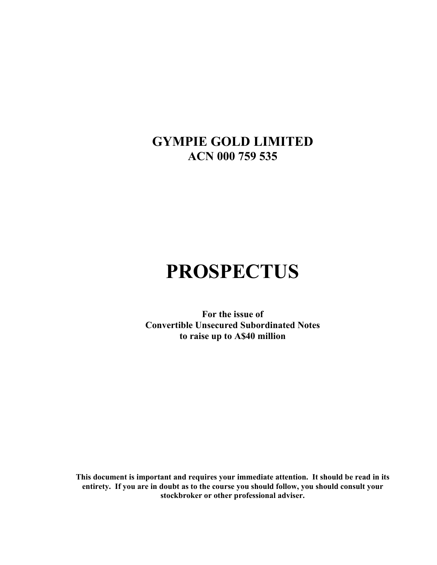**GYMPIE GOLD LIMITED ACN 000 759 535**

# **PROSPECTUS**

**For the issue of Convertible Unsecured Subordinated Notes to raise up to A\$40 million** 

**This document is important and requires your immediate attention. It should be read in its entirety. If you are in doubt as to the course you should follow, you should consult your stockbroker or other professional adviser.**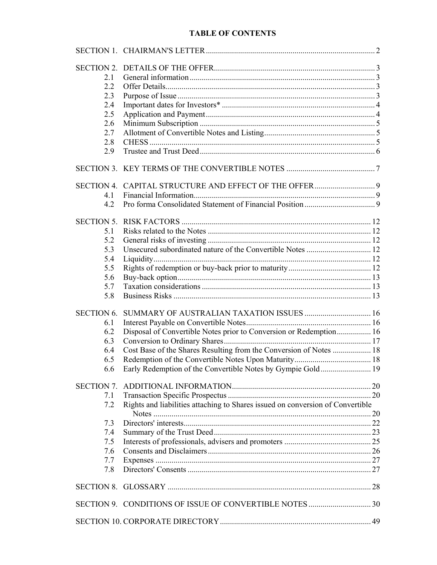| <b>TABLE OF CONTENTS</b> |
|--------------------------|
|                          |

| <b>SECTION 2.</b> |                                                                                |  |
|-------------------|--------------------------------------------------------------------------------|--|
| 2.1               |                                                                                |  |
| 2.2               |                                                                                |  |
| 2.3               |                                                                                |  |
| 2.4               |                                                                                |  |
| 2.5               |                                                                                |  |
| 2.6               |                                                                                |  |
| 2.7               |                                                                                |  |
|                   |                                                                                |  |
| 2.8               |                                                                                |  |
| 2.9               |                                                                                |  |
|                   |                                                                                |  |
|                   |                                                                                |  |
| 4.1               |                                                                                |  |
| 4.2               |                                                                                |  |
| <b>SECTION 5.</b> |                                                                                |  |
| 5.1               |                                                                                |  |
| 5.2               |                                                                                |  |
| 5.3               |                                                                                |  |
| 5.4               |                                                                                |  |
| 5.5               |                                                                                |  |
| 5.6               |                                                                                |  |
| 5.7               |                                                                                |  |
| 5.8               |                                                                                |  |
| <b>SECTION 6.</b> |                                                                                |  |
| 6.1               |                                                                                |  |
| 6.2               | Disposal of Convertible Notes prior to Conversion or Redemption 16             |  |
| 6.3               |                                                                                |  |
| 6.4               | Cost Base of the Shares Resulting from the Conversion of Notes  18             |  |
|                   |                                                                                |  |
| 6.5               |                                                                                |  |
| 6.6               | Early Redemption of the Convertible Notes by Gympie Gold 19                    |  |
| <b>SECTION 7.</b> |                                                                                |  |
| 7.1               |                                                                                |  |
| 7.2               | Rights and liabilities attaching to Shares issued on conversion of Convertible |  |
| 7.3               |                                                                                |  |
| 7.4               |                                                                                |  |
| 7.5               |                                                                                |  |
| 7.6               |                                                                                |  |
|                   |                                                                                |  |
| 7.7               |                                                                                |  |
| 7.8               |                                                                                |  |
|                   |                                                                                |  |
|                   |                                                                                |  |
|                   |                                                                                |  |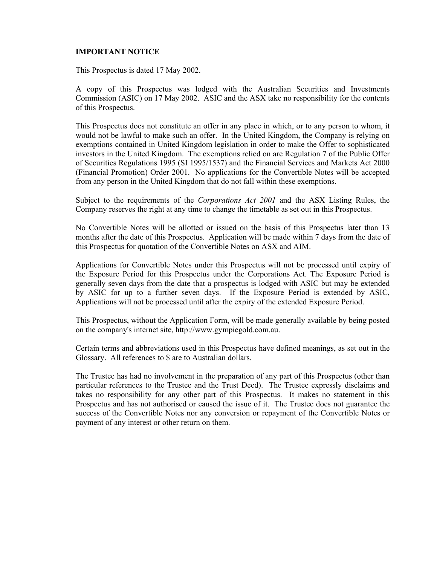#### **IMPORTANT NOTICE**

This Prospectus is dated 17 May 2002.

A copy of this Prospectus was lodged with the Australian Securities and Investments Commission (ASIC) on 17 May 2002. ASIC and the ASX take no responsibility for the contents of this Prospectus.

This Prospectus does not constitute an offer in any place in which, or to any person to whom, it would not be lawful to make such an offer. In the United Kingdom, the Company is relying on exemptions contained in United Kingdom legislation in order to make the Offer to sophisticated investors in the United Kingdom. The exemptions relied on are Regulation 7 of the Public Offer of Securities Regulations 1995 (SI 1995/1537) and the Financial Services and Markets Act 2000 (Financial Promotion) Order 2001. No applications for the Convertible Notes will be accepted from any person in the United Kingdom that do not fall within these exemptions.

Subject to the requirements of the *Corporations Act 2001* and the ASX Listing Rules, the Company reserves the right at any time to change the timetable as set out in this Prospectus.

No Convertible Notes will be allotted or issued on the basis of this Prospectus later than 13 months after the date of this Prospectus. Application will be made within 7 days from the date of this Prospectus for quotation of the Convertible Notes on ASX and AIM.

Applications for Convertible Notes under this Prospectus will not be processed until expiry of the Exposure Period for this Prospectus under the Corporations Act. The Exposure Period is generally seven days from the date that a prospectus is lodged with ASIC but may be extended by ASIC for up to a further seven days. If the Exposure Period is extended by ASIC, Applications will not be processed until after the expiry of the extended Exposure Period.

This Prospectus, without the Application Form, will be made generally available by being posted on the company's internet site, http://www.gympiegold.com.au.

Certain terms and abbreviations used in this Prospectus have defined meanings, as set out in the Glossary. All references to \$ are to Australian dollars.

The Trustee has had no involvement in the preparation of any part of this Prospectus (other than particular references to the Trustee and the Trust Deed). The Trustee expressly disclaims and takes no responsibility for any other part of this Prospectus. It makes no statement in this Prospectus and has not authorised or caused the issue of it. The Trustee does not guarantee the success of the Convertible Notes nor any conversion or repayment of the Convertible Notes or payment of any interest or other return on them.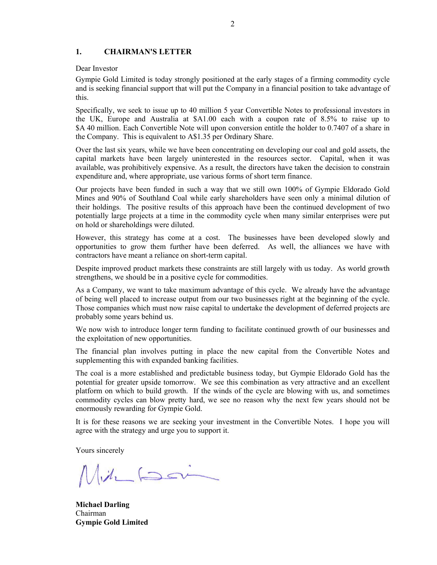#### **1. CHAIRMAN'S LETTER**

#### Dear Investor

Gympie Gold Limited is today strongly positioned at the early stages of a firming commodity cycle and is seeking financial support that will put the Company in a financial position to take advantage of this.

Specifically, we seek to issue up to 40 million 5 year Convertible Notes to professional investors in the UK, Europe and Australia at \$A1.00 each with a coupon rate of 8.5% to raise up to \$A 40 million. Each Convertible Note will upon conversion entitle the holder to 0.7407 of a share in the Company. This is equivalent to A\$1.35 per Ordinary Share.

Over the last six years, while we have been concentrating on developing our coal and gold assets, the capital markets have been largely uninterested in the resources sector. Capital, when it was available, was prohibitively expensive. As a result, the directors have taken the decision to constrain expenditure and, where appropriate, use various forms of short term finance.

Our projects have been funded in such a way that we still own 100% of Gympie Eldorado Gold Mines and 90% of Southland Coal while early shareholders have seen only a minimal dilution of their holdings. The positive results of this approach have been the continued development of two potentially large projects at a time in the commodity cycle when many similar enterprises were put on hold or shareholdings were diluted.

However, this strategy has come at a cost. The businesses have been developed slowly and opportunities to grow them further have been deferred. As well, the alliances we have with contractors have meant a reliance on short-term capital.

Despite improved product markets these constraints are still largely with us today. As world growth strengthens, we should be in a positive cycle for commodities.

As a Company, we want to take maximum advantage of this cycle. We already have the advantage of being well placed to increase output from our two businesses right at the beginning of the cycle. Those companies which must now raise capital to undertake the development of deferred projects are probably some years behind us.

We now wish to introduce longer term funding to facilitate continued growth of our businesses and the exploitation of new opportunities.

The financial plan involves putting in place the new capital from the Convertible Notes and supplementing this with expanded banking facilities.

The coal is a more established and predictable business today, but Gympie Eldorado Gold has the potential for greater upside tomorrow. We see this combination as very attractive and an excellent platform on which to build growth. If the winds of the cycle are blowing with us, and sometimes commodity cycles can blow pretty hard, we see no reason why the next few years should not be enormously rewarding for Gympie Gold.

It is for these reasons we are seeking your investment in the Convertible Notes. I hope you will agree with the strategy and urge you to support it.

Yours sincerely

 $M_1$ ill for

**Michael Darling** Chairman **Gympie Gold Limited**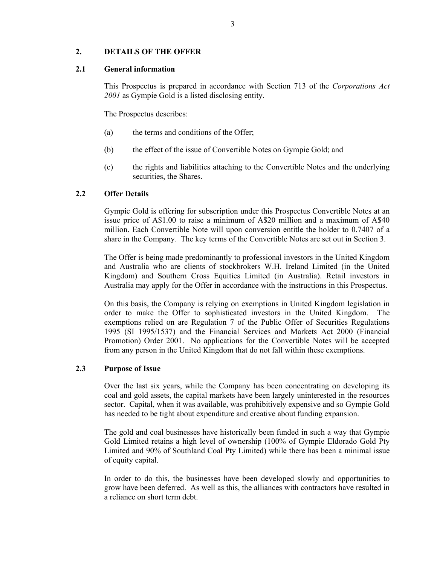## **2. DETAILS OF THE OFFER**

#### **2.1 General information**

This Prospectus is prepared in accordance with Section 713 of the *Corporations Act 2001* as Gympie Gold is a listed disclosing entity.

The Prospectus describes:

- (a) the terms and conditions of the Offer;
- (b) the effect of the issue of Convertible Notes on Gympie Gold; and
- (c) the rights and liabilities attaching to the Convertible Notes and the underlying securities, the Shares.

## **2.2 Offer Details**

Gympie Gold is offering for subscription under this Prospectus Convertible Notes at an issue price of A\$1.00 to raise a minimum of A\$20 million and a maximum of A\$40 million. Each Convertible Note will upon conversion entitle the holder to 0.7407 of a share in the Company. The key terms of the Convertible Notes are set out in Section 3.

The Offer is being made predominantly to professional investors in the United Kingdom and Australia who are clients of stockbrokers W.H. Ireland Limited (in the United Kingdom) and Southern Cross Equities Limited (in Australia). Retail investors in Australia may apply for the Offer in accordance with the instructions in this Prospectus.

On this basis, the Company is relying on exemptions in United Kingdom legislation in order to make the Offer to sophisticated investors in the United Kingdom. The exemptions relied on are Regulation 7 of the Public Offer of Securities Regulations 1995 (SI 1995/1537) and the Financial Services and Markets Act 2000 (Financial Promotion) Order 2001. No applications for the Convertible Notes will be accepted from any person in the United Kingdom that do not fall within these exemptions.

#### **2.3 Purpose of Issue**

Over the last six years, while the Company has been concentrating on developing its coal and gold assets, the capital markets have been largely uninterested in the resources sector. Capital, when it was available, was prohibitively expensive and so Gympie Gold has needed to be tight about expenditure and creative about funding expansion.

The gold and coal businesses have historically been funded in such a way that Gympie Gold Limited retains a high level of ownership (100% of Gympie Eldorado Gold Pty Limited and 90% of Southland Coal Pty Limited) while there has been a minimal issue of equity capital.

In order to do this, the businesses have been developed slowly and opportunities to grow have been deferred. As well as this, the alliances with contractors have resulted in a reliance on short term debt.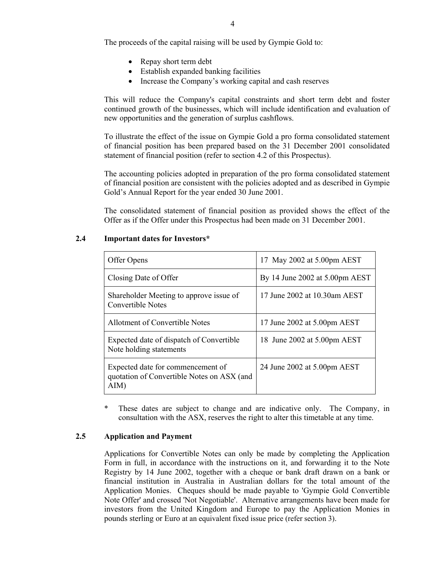The proceeds of the capital raising will be used by Gympie Gold to:

- Repay short term debt
- Establish expanded banking facilities
- Increase the Company's working capital and cash reserves

This will reduce the Company's capital constraints and short term debt and foster continued growth of the businesses, which will include identification and evaluation of new opportunities and the generation of surplus cashflows.

To illustrate the effect of the issue on Gympie Gold a pro forma consolidated statement of financial position has been prepared based on the 31 December 2001 consolidated statement of financial position (refer to section 4.2 of this Prospectus).

The accounting policies adopted in preparation of the pro forma consolidated statement of financial position are consistent with the policies adopted and as described in Gympie Gold's Annual Report for the year ended 30 June 2001.

The consolidated statement of financial position as provided shows the effect of the Offer as if the Offer under this Prospectus had been made on 31 December 2001.

| Offer Opens                                                                             | 17 May 2002 at 5.00pm AEST               |
|-----------------------------------------------------------------------------------------|------------------------------------------|
| Closing Date of Offer                                                                   | By 14 June 2002 at $5.00 \text{pm}$ AEST |
| Shareholder Meeting to approve issue of<br><b>Convertible Notes</b>                     | 17 June 2002 at 10.30am AEST             |
| Allotment of Convertible Notes                                                          | 17 June 2002 at 5.00pm AEST              |
| Expected date of dispatch of Convertible<br>Note holding statements                     | 18 June 2002 at 5.00pm AEST              |
| Expected date for commencement of<br>quotation of Convertible Notes on ASX (and<br>AIM) | 24 June 2002 at 5.00pm AEST              |

#### **2.4 Important dates for Investors\***

\* These dates are subject to change and are indicative only. The Company, in consultation with the ASX, reserves the right to alter this timetable at any time.

#### **2.5 Application and Payment**

Applications for Convertible Notes can only be made by completing the Application Form in full, in accordance with the instructions on it, and forwarding it to the Note Registry by 14 June 2002, together with a cheque or bank draft drawn on a bank or financial institution in Australia in Australian dollars for the total amount of the Application Monies. Cheques should be made payable to 'Gympie Gold Convertible Note Offer' and crossed 'Not Negotiable'. Alternative arrangements have been made for investors from the United Kingdom and Europe to pay the Application Monies in pounds sterling or Euro at an equivalent fixed issue price (refer section 3).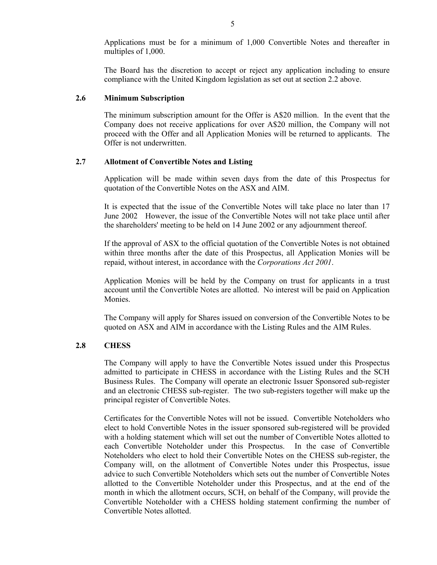Applications must be for a minimum of 1,000 Convertible Notes and thereafter in multiples of 1,000.

The Board has the discretion to accept or reject any application including to ensure compliance with the United Kingdom legislation as set out at section 2.2 above.

#### **2.6 Minimum Subscription**

The minimum subscription amount for the Offer is A\$20 million. In the event that the Company does not receive applications for over A\$20 million, the Company will not proceed with the Offer and all Application Monies will be returned to applicants. The Offer is not underwritten.

#### **2.7 Allotment of Convertible Notes and Listing**

Application will be made within seven days from the date of this Prospectus for quotation of the Convertible Notes on the ASX and AIM.

It is expected that the issue of the Convertible Notes will take place no later than 17 June 2002 However, the issue of the Convertible Notes will not take place until after the shareholders' meeting to be held on 14 June 2002 or any adjournment thereof.

If the approval of ASX to the official quotation of the Convertible Notes is not obtained within three months after the date of this Prospectus, all Application Monies will be repaid, without interest, in accordance with the *Corporations Act 2001*.

Application Monies will be held by the Company on trust for applicants in a trust account until the Convertible Notes are allotted. No interest will be paid on Application Monies.

The Company will apply for Shares issued on conversion of the Convertible Notes to be quoted on ASX and AIM in accordance with the Listing Rules and the AIM Rules.

#### **2.8 CHESS**

The Company will apply to have the Convertible Notes issued under this Prospectus admitted to participate in CHESS in accordance with the Listing Rules and the SCH Business Rules. The Company will operate an electronic Issuer Sponsored sub-register and an electronic CHESS sub-register. The two sub-registers together will make up the principal register of Convertible Notes.

Certificates for the Convertible Notes will not be issued. Convertible Noteholders who elect to hold Convertible Notes in the issuer sponsored sub-registered will be provided with a holding statement which will set out the number of Convertible Notes allotted to each Convertible Noteholder under this Prospectus. In the case of Convertible Noteholders who elect to hold their Convertible Notes on the CHESS sub-register, the Company will, on the allotment of Convertible Notes under this Prospectus, issue advice to such Convertible Noteholders which sets out the number of Convertible Notes allotted to the Convertible Noteholder under this Prospectus, and at the end of the month in which the allotment occurs, SCH, on behalf of the Company, will provide the Convertible Noteholder with a CHESS holding statement confirming the number of Convertible Notes allotted.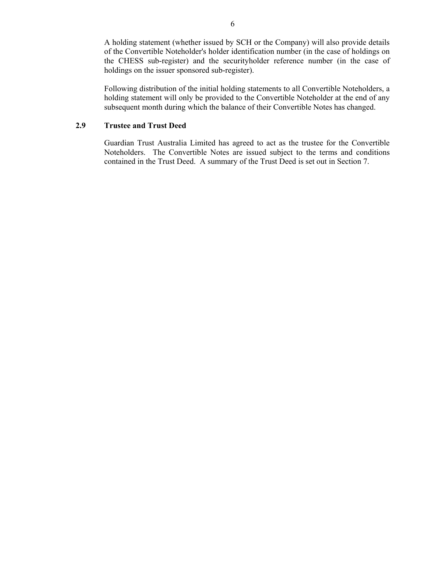A holding statement (whether issued by SCH or the Company) will also provide details of the Convertible Noteholder's holder identification number (in the case of holdings on the CHESS sub-register) and the securityholder reference number (in the case of holdings on the issuer sponsored sub-register).

Following distribution of the initial holding statements to all Convertible Noteholders, a holding statement will only be provided to the Convertible Noteholder at the end of any subsequent month during which the balance of their Convertible Notes has changed.

## **2.9 Trustee and Trust Deed**

Guardian Trust Australia Limited has agreed to act as the trustee for the Convertible Noteholders. The Convertible Notes are issued subject to the terms and conditions contained in the Trust Deed. A summary of the Trust Deed is set out in Section 7.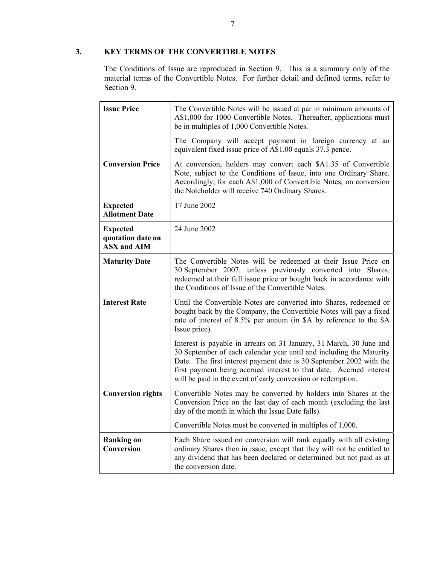## **3. KEY TERMS OF THE CONVERTIBLE NOTES**

The Conditions of Issue are reproduced in Section 9. This is a summary only of the material terms of the Convertible Notes. For further detail and defined terms, refer to Section 9.

| <b>Issue Price</b>                                         | The Convertible Notes will be issued at par in minimum amounts of<br>A\$1,000 for 1000 Convertible Notes. Thereafter, applications must<br>be in multiples of 1,000 Convertible Notes.                                                                                                                                                                   |  |
|------------------------------------------------------------|----------------------------------------------------------------------------------------------------------------------------------------------------------------------------------------------------------------------------------------------------------------------------------------------------------------------------------------------------------|--|
|                                                            | The Company will accept payment in foreign currency at an<br>equivalent fixed issue price of A\$1.00 equals 37.3 pence.                                                                                                                                                                                                                                  |  |
| <b>Conversion Price</b>                                    | At conversion, holders may convert each \$A1.35 of Convertible<br>Note, subject to the Conditions of Issue, into one Ordinary Share.<br>Accordingly, for each A\$1,000 of Convertible Notes, on conversion<br>the Noteholder will receive 740 Ordinary Shares.                                                                                           |  |
| <b>Expected</b><br><b>Allotment Date</b>                   | 17 June 2002                                                                                                                                                                                                                                                                                                                                             |  |
| <b>Expected</b><br>quotation date on<br><b>ASX and AIM</b> | 24 June 2002                                                                                                                                                                                                                                                                                                                                             |  |
| <b>Maturity Date</b>                                       | The Convertible Notes will be redeemed at their Issue Price on<br>30 September 2007, unless previously converted into Shares,<br>redeemed at their full issue price or bought back in accordance with<br>the Conditions of Issue of the Convertible Notes.                                                                                               |  |
| <b>Interest Rate</b>                                       | Until the Convertible Notes are converted into Shares, redeemed or<br>bought back by the Company, the Convertible Notes will pay a fixed<br>rate of interest of 8.5% per annum (in \$A by reference to the \$A<br>Issue price).                                                                                                                          |  |
|                                                            | Interest is payable in arrears on 31 January, 31 March, 30 June and<br>30 September of each calendar year until and including the Maturity<br>Date. The first interest payment date is 30 September 2002 with the<br>first payment being accrued interest to that date. Accrued interest<br>will be paid in the event of early conversion or redemption. |  |
| <b>Conversion rights</b>                                   | Convertible Notes may be converted by holders into Shares at the<br>Conversion Price on the last day of each month (excluding the last<br>day of the month in which the Issue Date falls).                                                                                                                                                               |  |
|                                                            | Convertible Notes must be converted in multiples of 1,000.                                                                                                                                                                                                                                                                                               |  |
| <b>Ranking on</b><br>Conversion                            | Each Share issued on conversion will rank equally with all existing<br>ordinary Shares then in issue, except that they will not be entitled to<br>any dividend that has been declared or determined but not paid as at<br>the conversion date.                                                                                                           |  |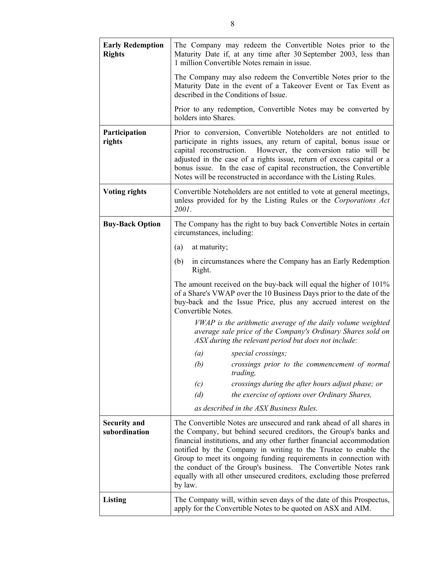| <b>Early Redemption</b><br><b>Rights</b> | The Company may redeem the Convertible Notes prior to the<br>Maturity Date if, at any time after 30 September 2003, less than<br>1 million Convertible Notes remain in issue.                                                                                                                                                                                                                                                                                                                                   |  |  |
|------------------------------------------|-----------------------------------------------------------------------------------------------------------------------------------------------------------------------------------------------------------------------------------------------------------------------------------------------------------------------------------------------------------------------------------------------------------------------------------------------------------------------------------------------------------------|--|--|
|                                          | The Company may also redeem the Convertible Notes prior to the<br>Maturity Date in the event of a Takeover Event or Tax Event as<br>described in the Conditions of Issue.                                                                                                                                                                                                                                                                                                                                       |  |  |
|                                          | Prior to any redemption, Convertible Notes may be converted by<br>holders into Shares.                                                                                                                                                                                                                                                                                                                                                                                                                          |  |  |
| Participation<br>rights                  | Prior to conversion, Convertible Noteholders are not entitled to<br>participate in rights issues, any return of capital, bonus issue or<br>However, the conversion ratio will be<br>capital reconstruction.<br>adjusted in the case of a rights issue, return of excess capital or a<br>bonus issue. In the case of capital reconstruction, the Convertible<br>Notes will be reconstructed in accordance with the Listing Rules.                                                                                |  |  |
| <b>Voting rights</b>                     | Convertible Noteholders are not entitled to vote at general meetings,<br>unless provided for by the Listing Rules or the Corporations Act<br>2001.                                                                                                                                                                                                                                                                                                                                                              |  |  |
| <b>Buy-Back Option</b>                   | The Company has the right to buy back Convertible Notes in certain<br>circumstances, including:                                                                                                                                                                                                                                                                                                                                                                                                                 |  |  |
|                                          | at maturity;<br>(a)                                                                                                                                                                                                                                                                                                                                                                                                                                                                                             |  |  |
|                                          | in circumstances where the Company has an Early Redemption<br>(b)<br>Right.                                                                                                                                                                                                                                                                                                                                                                                                                                     |  |  |
|                                          | The amount received on the buy-back will equal the higher of 101%<br>of a Share's VWAP over the 10 Business Days prior to the date of the<br>buy-back and the Issue Price, plus any accrued interest on the<br>Convertible Notes.                                                                                                                                                                                                                                                                               |  |  |
|                                          | VWAP is the arithmetic average of the daily volume weighted<br>average sale price of the Company's Ordinary Shares sold on<br>ASX during the relevant period but does not include:                                                                                                                                                                                                                                                                                                                              |  |  |
|                                          | (a)<br>special crossings;                                                                                                                                                                                                                                                                                                                                                                                                                                                                                       |  |  |
|                                          | (b)<br>crossings prior to the commencement of normal<br>trading,                                                                                                                                                                                                                                                                                                                                                                                                                                                |  |  |
|                                          | crossings during the after hours adjust phase; or<br>(c)                                                                                                                                                                                                                                                                                                                                                                                                                                                        |  |  |
|                                          | (d)<br>the exercise of options over Ordinary Shares,                                                                                                                                                                                                                                                                                                                                                                                                                                                            |  |  |
|                                          | as described in the ASX Business Rules.                                                                                                                                                                                                                                                                                                                                                                                                                                                                         |  |  |
| <b>Security and</b><br>subordination     | The Convertible Notes are unsecured and rank ahead of all shares in<br>the Company, but behind secured creditors, the Group's banks and<br>financial institutions, and any other further financial accommodation<br>notified by the Company in writing to the Trustee to enable the<br>Group to meet its ongoing funding requirements in connection with<br>the conduct of the Group's business. The Convertible Notes rank<br>equally with all other unsecured creditors, excluding those preferred<br>by law. |  |  |
| Listing                                  | The Company will, within seven days of the date of this Prospectus,<br>apply for the Convertible Notes to be quoted on ASX and AIM.                                                                                                                                                                                                                                                                                                                                                                             |  |  |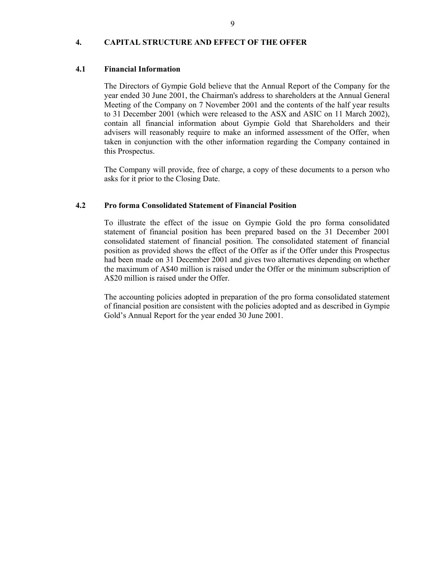#### **4. CAPITAL STRUCTURE AND EFFECT OF THE OFFER**

#### **4.1 Financial Information**

The Directors of Gympie Gold believe that the Annual Report of the Company for the year ended 30 June 2001, the Chairman's address to shareholders at the Annual General Meeting of the Company on 7 November 2001 and the contents of the half year results to 31 December 2001 (which were released to the ASX and ASIC on 11 March 2002), contain all financial information about Gympie Gold that Shareholders and their advisers will reasonably require to make an informed assessment of the Offer, when taken in conjunction with the other information regarding the Company contained in this Prospectus.

The Company will provide, free of charge, a copy of these documents to a person who asks for it prior to the Closing Date.

#### **4.2 Pro forma Consolidated Statement of Financial Position**

To illustrate the effect of the issue on Gympie Gold the pro forma consolidated statement of financial position has been prepared based on the 31 December 2001 consolidated statement of financial position. The consolidated statement of financial position as provided shows the effect of the Offer as if the Offer under this Prospectus had been made on 31 December 2001 and gives two alternatives depending on whether the maximum of A\$40 million is raised under the Offer or the minimum subscription of A\$20 million is raised under the Offer.

The accounting policies adopted in preparation of the pro forma consolidated statement of financial position are consistent with the policies adopted and as described in Gympie Gold's Annual Report for the year ended 30 June 2001.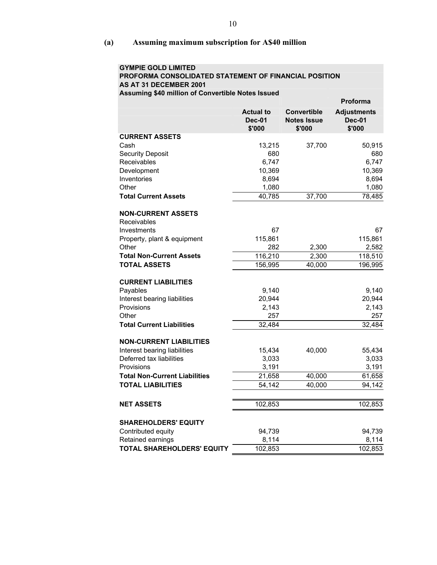**(a) Assuming maximum subscription for A\$40 million** 

| <b>GYMPIE GOLD LIMITED</b><br>PROFORMA CONSOLIDATED STATEMENT OF FINANCIAL POSITION |                                             |                                                    |                                               |
|-------------------------------------------------------------------------------------|---------------------------------------------|----------------------------------------------------|-----------------------------------------------|
| AS AT 31 DECEMBER 2001                                                              |                                             |                                                    |                                               |
| Assuming \$40 million of Convertible Notes Issued                                   |                                             |                                                    |                                               |
|                                                                                     |                                             |                                                    | <b>Proforma</b>                               |
|                                                                                     | <b>Actual to</b><br><b>Dec-01</b><br>\$'000 | <b>Convertible</b><br><b>Notes Issue</b><br>\$'000 | <b>Adjustments</b><br><b>Dec-01</b><br>\$'000 |
| <b>CURRENT ASSETS</b>                                                               |                                             |                                                    |                                               |
| Cash                                                                                | 13,215                                      | 37,700                                             | 50,915                                        |
| <b>Security Deposit</b>                                                             | 680                                         |                                                    | 680                                           |
| Receivables                                                                         | 6,747                                       |                                                    | 6,747                                         |
| Development                                                                         | 10,369                                      |                                                    | 10,369                                        |
| Inventories                                                                         | 8,694                                       |                                                    | 8,694                                         |
| Other                                                                               | 1,080                                       |                                                    | 1,080                                         |
| <b>Total Current Assets</b>                                                         | 40,785                                      | 37,700                                             | 78,485                                        |
| <b>NON-CURRENT ASSETS</b><br>Receivables                                            |                                             |                                                    |                                               |
| Investments                                                                         | 67                                          |                                                    | 67                                            |
| Property, plant & equipment                                                         | 115,861                                     |                                                    | 115,861                                       |
| Other                                                                               | 282                                         | 2,300                                              | 2,582                                         |
| <b>Total Non-Current Assets</b>                                                     | 116,210                                     | 2,300                                              | 118,510                                       |
| <b>TOTAL ASSETS</b>                                                                 | 156,995                                     | 40,000                                             | 196,995                                       |
| <b>CURRENT LIABILITIES</b>                                                          |                                             |                                                    |                                               |
| Payables                                                                            | 9,140                                       |                                                    | 9,140                                         |
| Interest bearing liabilities                                                        | 20,944                                      |                                                    | 20,944                                        |
| Provisions                                                                          | 2,143                                       |                                                    | 2,143                                         |
| Other                                                                               | 257                                         |                                                    | 257                                           |
| <b>Total Current Liabilities</b>                                                    | 32,484                                      |                                                    | 32,484                                        |
| <b>NON-CURRENT LIABILITIES</b>                                                      |                                             |                                                    |                                               |
| Interest bearing liabilities                                                        | 15,434                                      | 40,000                                             | 55,434                                        |
| Deferred tax liabilities                                                            | 3,033                                       |                                                    | 3,033                                         |
| Provisions                                                                          | 3,191                                       |                                                    | 3,191                                         |
| <b>Total Non-Current Liabilities</b>                                                | 21,658                                      | 40,000                                             | 61,658                                        |
| TOTAL LIABILITIES                                                                   | 54,142                                      | 40,000                                             | 94,142                                        |
| <b>NET ASSETS</b>                                                                   | 102,853                                     |                                                    | 102,853                                       |
| <b>SHAREHOLDERS' EQUITY</b>                                                         |                                             |                                                    |                                               |
| Contributed equity                                                                  | 94,739                                      |                                                    | 94,739                                        |
| Retained earnings                                                                   | 8,114                                       |                                                    | 8,114                                         |
| TOTAL SHAREHOLDERS' EQUITY                                                          | 102,853                                     |                                                    | 102,853                                       |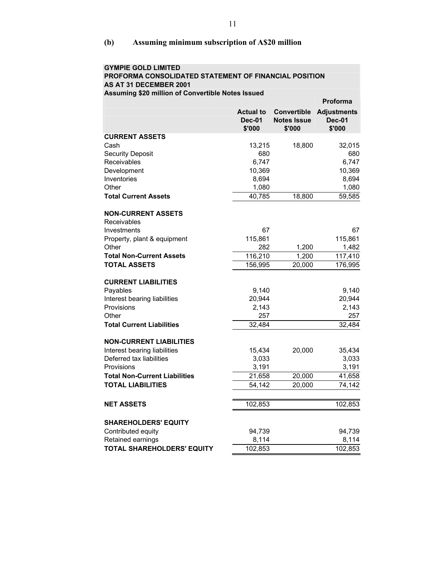## **(b) Assuming minimum subscription of A\$20 million**

| <b>GYMPIE GOLD LIMITED</b>                             |                  |                    |                    |
|--------------------------------------------------------|------------------|--------------------|--------------------|
| PROFORMA CONSOLIDATED STATEMENT OF FINANCIAL POSITION  |                  |                    |                    |
| AS AT 31 DECEMBER 2001                                 |                  |                    |                    |
| Assuming \$20 million of Convertible Notes Issued      |                  |                    |                    |
|                                                        |                  |                    | <b>Proforma</b>    |
|                                                        | <b>Actual to</b> | <b>Convertible</b> | <b>Adjustments</b> |
|                                                        | <b>Dec-01</b>    | <b>Notes Issue</b> | <b>Dec-01</b>      |
|                                                        | \$'000           | \$'000             | \$'000             |
| <b>CURRENT ASSETS</b>                                  |                  |                    |                    |
| Cash                                                   | 13,215           | 18,800             | 32,015             |
| <b>Security Deposit</b>                                | 680              |                    | 680                |
| Receivables                                            | 6,747            |                    | 6,747              |
| Development                                            | 10,369           |                    | 10,369             |
| Inventories                                            | 8,694            |                    | 8,694              |
| Other                                                  | 1,080            |                    | 1,080              |
| <b>Total Current Assets</b>                            | 40,785           | 18,800             | 59,585             |
|                                                        |                  |                    |                    |
| <b>NON-CURRENT ASSETS</b>                              |                  |                    |                    |
| Receivables                                            |                  |                    |                    |
| Investments                                            | 67               |                    | 67                 |
| Property, plant & equipment<br>Other                   | 115,861<br>282   | 1,200              | 115,861            |
|                                                        | 116,210          | 1,200              | 1,482              |
| <b>Total Non-Current Assets</b><br><b>TOTAL ASSETS</b> | 156,995          | 20,000             | 117,410<br>176,995 |
|                                                        |                  |                    |                    |
| <b>CURRENT LIABILITIES</b>                             |                  |                    |                    |
| Payables                                               | 9,140            |                    | 9,140              |
| Interest bearing liabilities                           | 20,944           |                    | 20,944             |
| Provisions                                             | 2,143            |                    | 2,143              |
| Other                                                  | 257              |                    | 257                |
| <b>Total Current Liabilities</b>                       | 32,484           |                    | 32,484             |
|                                                        |                  |                    |                    |
| <b>NON-CURRENT LIABILITIES</b>                         |                  |                    |                    |
| Interest bearing liabilities                           | 15,434           | 20,000             | 35,434             |
| Deferred tax liabilities                               | 3,033            |                    | 3,033              |
| Provisions                                             | 3,191            |                    | 3,191              |
| <b>Total Non-Current Liabilities</b>                   | 21,658           | 20,000             | 41,658             |
| <b>TOTAL LIABILITIES</b>                               | 54,142           | 20,000             | 74,142             |
|                                                        |                  |                    |                    |
| <b>NET ASSETS</b>                                      | 102,853          |                    | 102,853            |
|                                                        |                  |                    |                    |
| <b>SHAREHOLDERS' EQUITY</b>                            |                  |                    |                    |
| Contributed equity                                     | 94,739           |                    | 94,739             |
| Retained earnings                                      | 8,114            |                    | 8,114              |
| <b>TOTAL SHAREHOLDERS' EQUITY</b>                      | 102,853          |                    | 102,853            |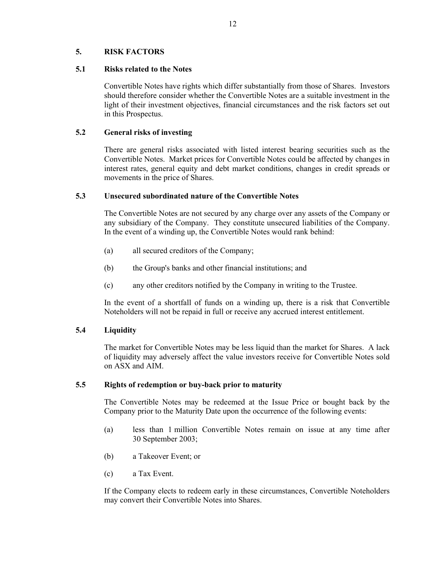## **5. RISK FACTORS**

#### **5.1 Risks related to the Notes**

Convertible Notes have rights which differ substantially from those of Shares. Investors should therefore consider whether the Convertible Notes are a suitable investment in the light of their investment objectives, financial circumstances and the risk factors set out in this Prospectus.

## **5.2 General risks of investing**

There are general risks associated with listed interest bearing securities such as the Convertible Notes. Market prices for Convertible Notes could be affected by changes in interest rates, general equity and debt market conditions, changes in credit spreads or movements in the price of Shares.

## **5.3 Unsecured subordinated nature of the Convertible Notes**

The Convertible Notes are not secured by any charge over any assets of the Company or any subsidiary of the Company. They constitute unsecured liabilities of the Company. In the event of a winding up, the Convertible Notes would rank behind:

- (a) all secured creditors of the Company;
- (b) the Group's banks and other financial institutions; and
- (c) any other creditors notified by the Company in writing to the Trustee.

In the event of a shortfall of funds on a winding up, there is a risk that Convertible Noteholders will not be repaid in full or receive any accrued interest entitlement.

## **5.4 Liquidity**

The market for Convertible Notes may be less liquid than the market for Shares. A lack of liquidity may adversely affect the value investors receive for Convertible Notes sold on ASX and AIM.

#### **5.5 Rights of redemption or buy-back prior to maturity**

The Convertible Notes may be redeemed at the Issue Price or bought back by the Company prior to the Maturity Date upon the occurrence of the following events:

- (a) less than 1 million Convertible Notes remain on issue at any time after 30 September 2003;
- (b) a Takeover Event; or
- (c) a Tax Event.

If the Company elects to redeem early in these circumstances, Convertible Noteholders may convert their Convertible Notes into Shares.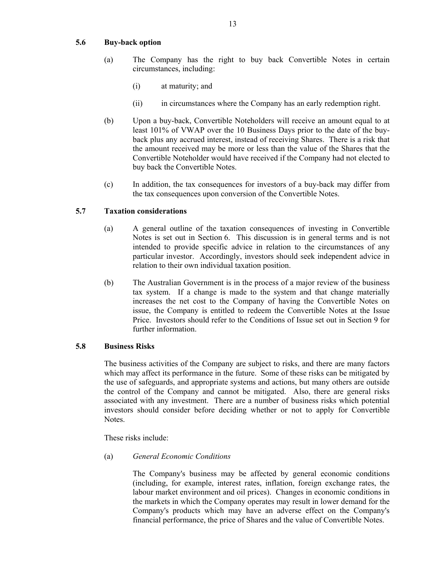#### **5.6 Buy-back option**

- (a) The Company has the right to buy back Convertible Notes in certain circumstances, including:
	- (i) at maturity; and
	- (ii) in circumstances where the Company has an early redemption right.
- (b) Upon a buy-back, Convertible Noteholders will receive an amount equal to at least 101% of VWAP over the 10 Business Days prior to the date of the buyback plus any accrued interest, instead of receiving Shares. There is a risk that the amount received may be more or less than the value of the Shares that the Convertible Noteholder would have received if the Company had not elected to buy back the Convertible Notes.
- (c) In addition, the tax consequences for investors of a buy-back may differ from the tax consequences upon conversion of the Convertible Notes.

## **5.7 Taxation considerations**

- (a) A general outline of the taxation consequences of investing in Convertible Notes is set out in Section 6. This discussion is in general terms and is not intended to provide specific advice in relation to the circumstances of any particular investor. Accordingly, investors should seek independent advice in relation to their own individual taxation position.
- (b) The Australian Government is in the process of a major review of the business tax system. If a change is made to the system and that change materially increases the net cost to the Company of having the Convertible Notes on issue, the Company is entitled to redeem the Convertible Notes at the Issue Price. Investors should refer to the Conditions of Issue set out in Section 9 for further information.

#### **5.8 Business Risks**

The business activities of the Company are subject to risks, and there are many factors which may affect its performance in the future. Some of these risks can be mitigated by the use of safeguards, and appropriate systems and actions, but many others are outside the control of the Company and cannot be mitigated. Also, there are general risks associated with any investment. There are a number of business risks which potential investors should consider before deciding whether or not to apply for Convertible Notes.

These risks include:

## (a) *General Economic Conditions*

The Company's business may be affected by general economic conditions (including, for example, interest rates, inflation, foreign exchange rates, the labour market environment and oil prices). Changes in economic conditions in the markets in which the Company operates may result in lower demand for the Company's products which may have an adverse effect on the Company's financial performance, the price of Shares and the value of Convertible Notes.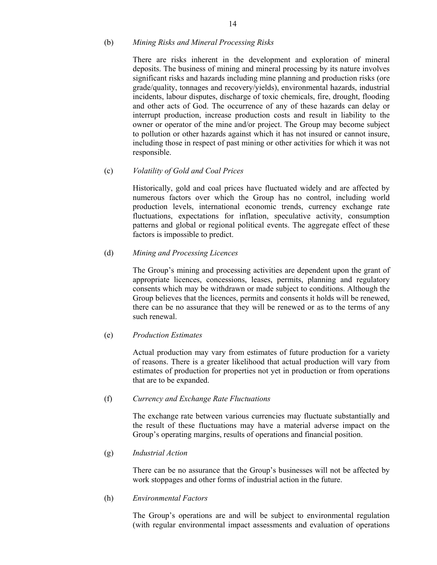#### (b) *Mining Risks and Mineral Processing Risks*

There are risks inherent in the development and exploration of mineral deposits. The business of mining and mineral processing by its nature involves significant risks and hazards including mine planning and production risks (ore grade/quality, tonnages and recovery/yields), environmental hazards, industrial incidents, labour disputes, discharge of toxic chemicals, fire, drought, flooding and other acts of God. The occurrence of any of these hazards can delay or interrupt production, increase production costs and result in liability to the owner or operator of the mine and/or project. The Group may become subject to pollution or other hazards against which it has not insured or cannot insure, including those in respect of past mining or other activities for which it was not responsible.

#### (c) *Volatility of Gold and Coal Prices*

Historically, gold and coal prices have fluctuated widely and are affected by numerous factors over which the Group has no control, including world production levels, international economic trends, currency exchange rate fluctuations, expectations for inflation, speculative activity, consumption patterns and global or regional political events. The aggregate effect of these factors is impossible to predict.

## (d) *Mining and Processing Licences*

The Group's mining and processing activities are dependent upon the grant of appropriate licences, concessions, leases, permits, planning and regulatory consents which may be withdrawn or made subject to conditions. Although the Group believes that the licences, permits and consents it holds will be renewed, there can be no assurance that they will be renewed or as to the terms of any such renewal.

#### (e) *Production Estimates*

Actual production may vary from estimates of future production for a variety of reasons. There is a greater likelihood that actual production will vary from estimates of production for properties not yet in production or from operations that are to be expanded.

#### (f) *Currency and Exchange Rate Fluctuations*

The exchange rate between various currencies may fluctuate substantially and the result of these fluctuations may have a material adverse impact on the Group's operating margins, results of operations and financial position.

#### (g) *Industrial Action*

There can be no assurance that the Group's businesses will not be affected by work stoppages and other forms of industrial action in the future.

#### (h) *Environmental Factors*

The Group's operations are and will be subject to environmental regulation (with regular environmental impact assessments and evaluation of operations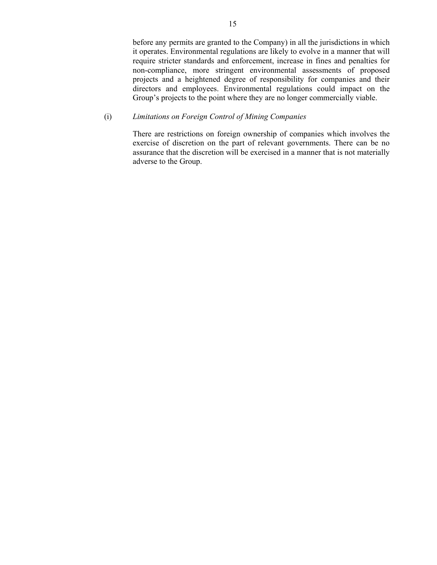before any permits are granted to the Company) in all the jurisdictions in which it operates. Environmental regulations are likely to evolve in a manner that will require stricter standards and enforcement, increase in fines and penalties for non-compliance, more stringent environmental assessments of proposed projects and a heightened degree of responsibility for companies and their directors and employees. Environmental regulations could impact on the Group's projects to the point where they are no longer commercially viable.

#### (i) *Limitations on Foreign Control of Mining Companies*

There are restrictions on foreign ownership of companies which involves the exercise of discretion on the part of relevant governments. There can be no assurance that the discretion will be exercised in a manner that is not materially adverse to the Group.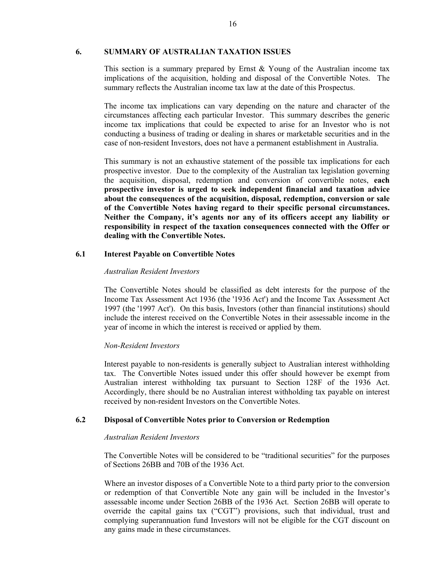#### **6. SUMMARY OF AUSTRALIAN TAXATION ISSUES**

This section is a summary prepared by Ernst  $\&$  Young of the Australian income tax implications of the acquisition, holding and disposal of the Convertible Notes. The summary reflects the Australian income tax law at the date of this Prospectus.

The income tax implications can vary depending on the nature and character of the circumstances affecting each particular Investor. This summary describes the generic income tax implications that could be expected to arise for an Investor who is not conducting a business of trading or dealing in shares or marketable securities and in the case of non-resident Investors, does not have a permanent establishment in Australia.

This summary is not an exhaustive statement of the possible tax implications for each prospective investor. Due to the complexity of the Australian tax legislation governing the acquisition, disposal, redemption and conversion of convertible notes, **each prospective investor is urged to seek independent financial and taxation advice about the consequences of the acquisition, disposal, redemption, conversion or sale of the Convertible Notes having regard to their specific personal circumstances. Neither the Company, it's agents nor any of its officers accept any liability or responsibility in respect of the taxation consequences connected with the Offer or dealing with the Convertible Notes.**

#### **6.1 Interest Payable on Convertible Notes**

#### *Australian Resident Investors*

The Convertible Notes should be classified as debt interests for the purpose of the Income Tax Assessment Act 1936 (the '1936 Act') and the Income Tax Assessment Act 1997 (the '1997 Act'). On this basis, Investors (other than financial institutions) should include the interest received on the Convertible Notes in their assessable income in the year of income in which the interest is received or applied by them.

#### *Non-Resident Investors*

Interest payable to non-residents is generally subject to Australian interest withholding tax. The Convertible Notes issued under this offer should however be exempt from Australian interest withholding tax pursuant to Section 128F of the 1936 Act. Accordingly, there should be no Australian interest withholding tax payable on interest received by non-resident Investors on the Convertible Notes.

#### **6.2 Disposal of Convertible Notes prior to Conversion or Redemption**

#### *Australian Resident Investors*

The Convertible Notes will be considered to be "traditional securities" for the purposes of Sections 26BB and 70B of the 1936 Act.

Where an investor disposes of a Convertible Note to a third party prior to the conversion or redemption of that Convertible Note any gain will be included in the Investor's assessable income under Section 26BB of the 1936 Act. Section 26BB will operate to override the capital gains tax ("CGT") provisions, such that individual, trust and complying superannuation fund Investors will not be eligible for the CGT discount on any gains made in these circumstances.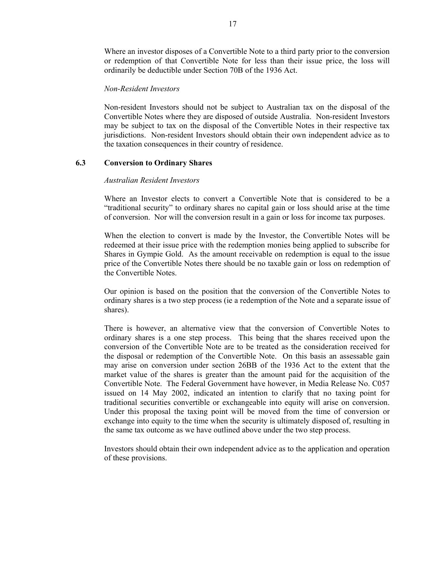Where an investor disposes of a Convertible Note to a third party prior to the conversion or redemption of that Convertible Note for less than their issue price, the loss will ordinarily be deductible under Section 70B of the 1936 Act.

#### *Non-Resident Investors*

Non-resident Investors should not be subject to Australian tax on the disposal of the Convertible Notes where they are disposed of outside Australia. Non-resident Investors may be subject to tax on the disposal of the Convertible Notes in their respective tax jurisdictions. Non-resident Investors should obtain their own independent advice as to the taxation consequences in their country of residence.

#### **6.3 Conversion to Ordinary Shares**

#### *Australian Resident Investors*

Where an Investor elects to convert a Convertible Note that is considered to be a "traditional security" to ordinary shares no capital gain or loss should arise at the time of conversion. Nor will the conversion result in a gain or loss for income tax purposes.

When the election to convert is made by the Investor, the Convertible Notes will be redeemed at their issue price with the redemption monies being applied to subscribe for Shares in Gympie Gold. As the amount receivable on redemption is equal to the issue price of the Convertible Notes there should be no taxable gain or loss on redemption of the Convertible Notes.

Our opinion is based on the position that the conversion of the Convertible Notes to ordinary shares is a two step process (ie a redemption of the Note and a separate issue of shares).

There is however, an alternative view that the conversion of Convertible Notes to ordinary shares is a one step process. This being that the shares received upon the conversion of the Convertible Note are to be treated as the consideration received for the disposal or redemption of the Convertible Note. On this basis an assessable gain may arise on conversion under section 26BB of the 1936 Act to the extent that the market value of the shares is greater than the amount paid for the acquisition of the Convertible Note. The Federal Government have however, in Media Release No. C057 issued on 14 May 2002, indicated an intention to clarify that no taxing point for traditional securities convertible or exchangeable into equity will arise on conversion. Under this proposal the taxing point will be moved from the time of conversion or exchange into equity to the time when the security is ultimately disposed of, resulting in the same tax outcome as we have outlined above under the two step process.

Investors should obtain their own independent advice as to the application and operation of these provisions.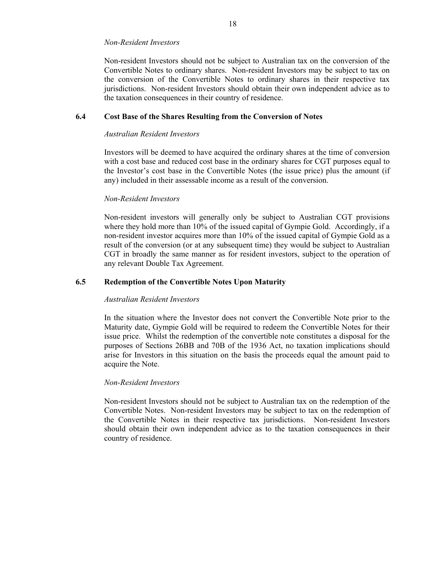#### *Non-Resident Investors*

Non-resident Investors should not be subject to Australian tax on the conversion of the Convertible Notes to ordinary shares. Non-resident Investors may be subject to tax on the conversion of the Convertible Notes to ordinary shares in their respective tax jurisdictions. Non-resident Investors should obtain their own independent advice as to the taxation consequences in their country of residence.

#### **6.4 Cost Base of the Shares Resulting from the Conversion of Notes**

#### *Australian Resident Investors*

Investors will be deemed to have acquired the ordinary shares at the time of conversion with a cost base and reduced cost base in the ordinary shares for CGT purposes equal to the Investor's cost base in the Convertible Notes (the issue price) plus the amount (if any) included in their assessable income as a result of the conversion.

#### *Non-Resident Investors*

Non-resident investors will generally only be subject to Australian CGT provisions where they hold more than 10% of the issued capital of Gympie Gold. Accordingly, if a non-resident investor acquires more than 10% of the issued capital of Gympie Gold as a result of the conversion (or at any subsequent time) they would be subject to Australian CGT in broadly the same manner as for resident investors, subject to the operation of any relevant Double Tax Agreement.

## **6.5 Redemption of the Convertible Notes Upon Maturity**

#### *Australian Resident Investors*

In the situation where the Investor does not convert the Convertible Note prior to the Maturity date, Gympie Gold will be required to redeem the Convertible Notes for their issue price. Whilst the redemption of the convertible note constitutes a disposal for the purposes of Sections 26BB and 70B of the 1936 Act, no taxation implications should arise for Investors in this situation on the basis the proceeds equal the amount paid to acquire the Note.

#### *Non-Resident Investors*

Non-resident Investors should not be subject to Australian tax on the redemption of the Convertible Notes. Non-resident Investors may be subject to tax on the redemption of the Convertible Notes in their respective tax jurisdictions. Non-resident Investors should obtain their own independent advice as to the taxation consequences in their country of residence.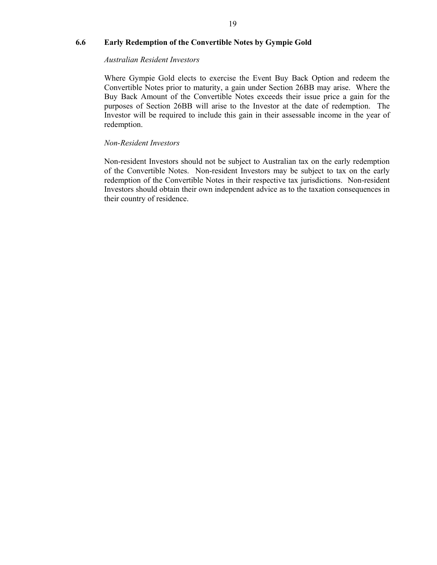## **6.6 Early Redemption of the Convertible Notes by Gympie Gold**

#### *Australian Resident Investors*

Where Gympie Gold elects to exercise the Event Buy Back Option and redeem the Convertible Notes prior to maturity, a gain under Section 26BB may arise. Where the Buy Back Amount of the Convertible Notes exceeds their issue price a gain for the purposes of Section 26BB will arise to the Investor at the date of redemption. The Investor will be required to include this gain in their assessable income in the year of redemption.

## *Non-Resident Investors*

Non-resident Investors should not be subject to Australian tax on the early redemption of the Convertible Notes. Non-resident Investors may be subject to tax on the early redemption of the Convertible Notes in their respective tax jurisdictions. Non-resident Investors should obtain their own independent advice as to the taxation consequences in their country of residence.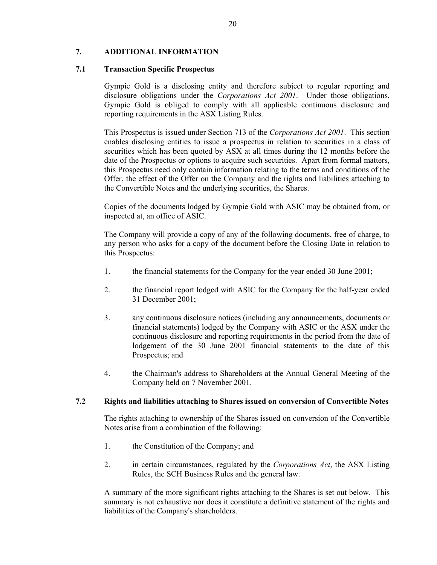## **7. ADDITIONAL INFORMATION**

#### **7.1 Transaction Specific Prospectus**

Gympie Gold is a disclosing entity and therefore subject to regular reporting and disclosure obligations under the *Corporations Act 2001*. Under those obligations, Gympie Gold is obliged to comply with all applicable continuous disclosure and reporting requirements in the ASX Listing Rules.

This Prospectus is issued under Section 713 of the *Corporations Act 2001*. This section enables disclosing entities to issue a prospectus in relation to securities in a class of securities which has been quoted by ASX at all times during the 12 months before the date of the Prospectus or options to acquire such securities. Apart from formal matters, this Prospectus need only contain information relating to the terms and conditions of the Offer, the effect of the Offer on the Company and the rights and liabilities attaching to the Convertible Notes and the underlying securities, the Shares.

Copies of the documents lodged by Gympie Gold with ASIC may be obtained from, or inspected at, an office of ASIC.

The Company will provide a copy of any of the following documents, free of charge, to any person who asks for a copy of the document before the Closing Date in relation to this Prospectus:

- 1. the financial statements for the Company for the year ended 30 June 2001;
- 2. the financial report lodged with ASIC for the Company for the half-year ended 31 December 2001;
- 3. any continuous disclosure notices (including any announcements, documents or financial statements) lodged by the Company with ASIC or the ASX under the continuous disclosure and reporting requirements in the period from the date of lodgement of the 30 June 2001 financial statements to the date of this Prospectus; and
- 4. the Chairman's address to Shareholders at the Annual General Meeting of the Company held on 7 November 2001.

#### **7.2 Rights and liabilities attaching to Shares issued on conversion of Convertible Notes**

The rights attaching to ownership of the Shares issued on conversion of the Convertible Notes arise from a combination of the following:

- 1. the Constitution of the Company; and
- 2. in certain circumstances, regulated by the *Corporations Act*, the ASX Listing Rules, the SCH Business Rules and the general law.

A summary of the more significant rights attaching to the Shares is set out below. This summary is not exhaustive nor does it constitute a definitive statement of the rights and liabilities of the Company's shareholders.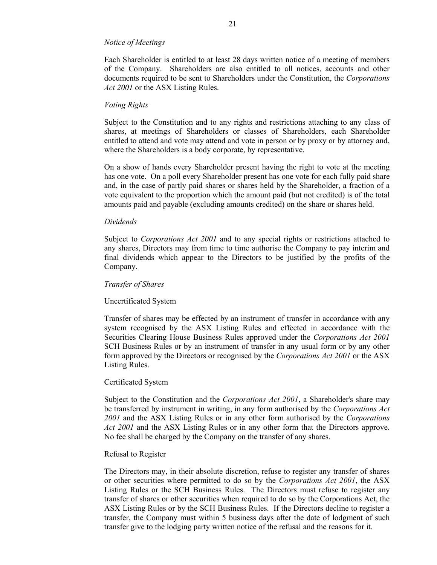#### *Notice of Meetings*

Each Shareholder is entitled to at least 28 days written notice of a meeting of members of the Company. Shareholders are also entitled to all notices, accounts and other documents required to be sent to Shareholders under the Constitution, the *Corporations Act 2001* or the ASX Listing Rules.

#### *Voting Rights*

Subject to the Constitution and to any rights and restrictions attaching to any class of shares, at meetings of Shareholders or classes of Shareholders, each Shareholder entitled to attend and vote may attend and vote in person or by proxy or by attorney and, where the Shareholders is a body corporate, by representative.

On a show of hands every Shareholder present having the right to vote at the meeting has one vote. On a poll every Shareholder present has one vote for each fully paid share and, in the case of partly paid shares or shares held by the Shareholder, a fraction of a vote equivalent to the proportion which the amount paid (but not credited) is of the total amounts paid and payable (excluding amounts credited) on the share or shares held.

#### *Dividends*

Subject to *Corporations Act 2001* and to any special rights or restrictions attached to any shares, Directors may from time to time authorise the Company to pay interim and final dividends which appear to the Directors to be justified by the profits of the Company.

#### *Transfer of Shares*

#### Uncertificated System

Transfer of shares may be effected by an instrument of transfer in accordance with any system recognised by the ASX Listing Rules and effected in accordance with the Securities Clearing House Business Rules approved under the *Corporations Act 2001* SCH Business Rules or by an instrument of transfer in any usual form or by any other form approved by the Directors or recognised by the *Corporations Act 2001* or the ASX Listing Rules.

#### Certificated System

Subject to the Constitution and the *Corporations Act 2001*, a Shareholder's share may be transferred by instrument in writing, in any form authorised by the *Corporations Act 2001* and the ASX Listing Rules or in any other form authorised by the *Corporations Act 2001* and the ASX Listing Rules or in any other form that the Directors approve. No fee shall be charged by the Company on the transfer of any shares.

#### Refusal to Register

The Directors may, in their absolute discretion, refuse to register any transfer of shares or other securities where permitted to do so by the *Corporations Act 2001*, the ASX Listing Rules or the SCH Business Rules. The Directors must refuse to register any transfer of shares or other securities when required to do so by the Corporations Act, the ASX Listing Rules or by the SCH Business Rules. If the Directors decline to register a transfer, the Company must within 5 business days after the date of lodgment of such transfer give to the lodging party written notice of the refusal and the reasons for it.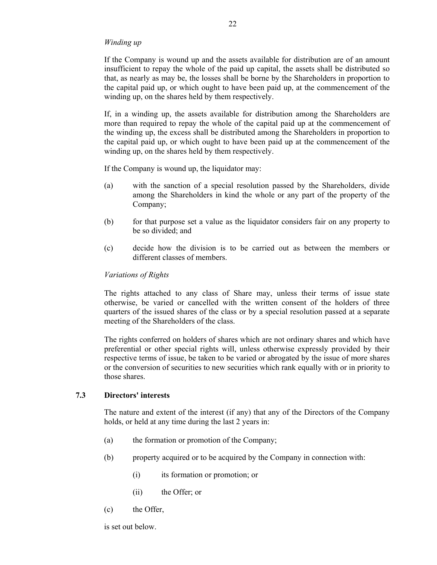#### *Winding up*

If the Company is wound up and the assets available for distribution are of an amount insufficient to repay the whole of the paid up capital, the assets shall be distributed so that, as nearly as may be, the losses shall be borne by the Shareholders in proportion to the capital paid up, or which ought to have been paid up, at the commencement of the winding up, on the shares held by them respectively.

If, in a winding up, the assets available for distribution among the Shareholders are more than required to repay the whole of the capital paid up at the commencement of the winding up, the excess shall be distributed among the Shareholders in proportion to the capital paid up, or which ought to have been paid up at the commencement of the winding up, on the shares held by them respectively.

If the Company is wound up, the liquidator may:

- (a) with the sanction of a special resolution passed by the Shareholders, divide among the Shareholders in kind the whole or any part of the property of the Company;
- (b) for that purpose set a value as the liquidator considers fair on any property to be so divided; and
- (c) decide how the division is to be carried out as between the members or different classes of members.

#### *Variations of Rights*

The rights attached to any class of Share may, unless their terms of issue state otherwise, be varied or cancelled with the written consent of the holders of three quarters of the issued shares of the class or by a special resolution passed at a separate meeting of the Shareholders of the class.

The rights conferred on holders of shares which are not ordinary shares and which have preferential or other special rights will, unless otherwise expressly provided by their respective terms of issue, be taken to be varied or abrogated by the issue of more shares or the conversion of securities to new securities which rank equally with or in priority to those shares.

#### **7.3 Directors' interests**

The nature and extent of the interest (if any) that any of the Directors of the Company holds, or held at any time during the last 2 years in:

- (a) the formation or promotion of the Company;
- (b) property acquired or to be acquired by the Company in connection with:
	- (i) its formation or promotion; or
	- (ii) the Offer; or
- (c) the Offer,

is set out below.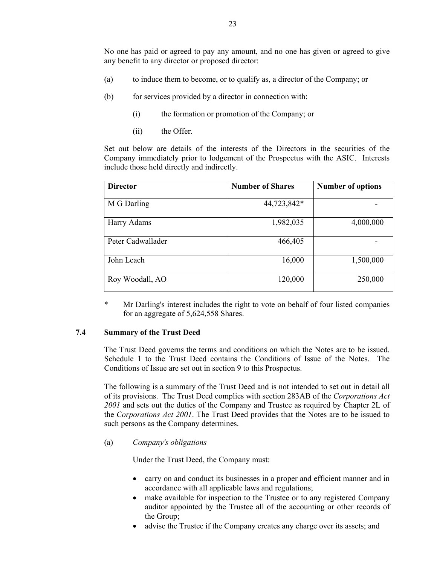No one has paid or agreed to pay any amount, and no one has given or agreed to give any benefit to any director or proposed director:

- (a) to induce them to become, or to qualify as, a director of the Company; or
- (b) for services provided by a director in connection with:
	- (i) the formation or promotion of the Company; or
	- (ii) the Offer.

Set out below are details of the interests of the Directors in the securities of the Company immediately prior to lodgement of the Prospectus with the ASIC. Interests include those held directly and indirectly.

| <b>Director</b>   | <b>Number of Shares</b> | <b>Number of options</b> |
|-------------------|-------------------------|--------------------------|
| M G Darling       | 44,723,842*             |                          |
| Harry Adams       | 1,982,035               | 4,000,000                |
| Peter Cadwallader | 466,405                 |                          |
| John Leach        | 16,000                  | 1,500,000                |
| Roy Woodall, AO   | 120,000                 | 250,000                  |

\* Mr Darling's interest includes the right to vote on behalf of four listed companies for an aggregate of 5,624,558 Shares.

#### **7.4 Summary of the Trust Deed**

The Trust Deed governs the terms and conditions on which the Notes are to be issued. Schedule 1 to the Trust Deed contains the Conditions of Issue of the Notes. The Conditions of Issue are set out in section 9 to this Prospectus.

The following is a summary of the Trust Deed and is not intended to set out in detail all of its provisions. The Trust Deed complies with section 283AB of the *Corporations Act 2001* and sets out the duties of the Company and Trustee as required by Chapter 2L of the *Corporations Act 2001*. The Trust Deed provides that the Notes are to be issued to such persons as the Company determines.

(a) *Company's obligations*

Under the Trust Deed, the Company must:

- carry on and conduct its businesses in a proper and efficient manner and in accordance with all applicable laws and regulations;
- make available for inspection to the Trustee or to any registered Company auditor appointed by the Trustee all of the accounting or other records of the Group;
- advise the Trustee if the Company creates any charge over its assets; and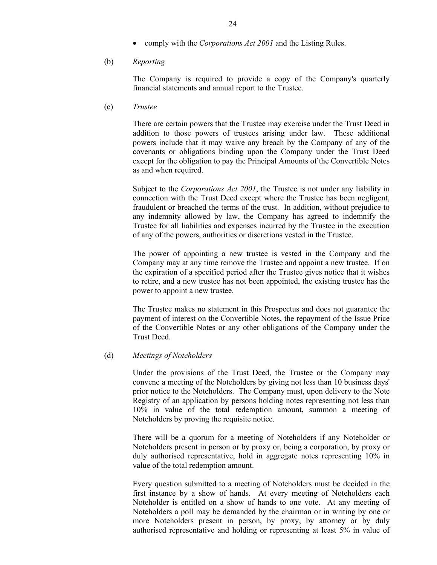• comply with the *Corporations Act 2001* and the Listing Rules.

#### (b) *Reporting*

The Company is required to provide a copy of the Company's quarterly financial statements and annual report to the Trustee.

(c) *Trustee*

There are certain powers that the Trustee may exercise under the Trust Deed in addition to those powers of trustees arising under law. These additional powers include that it may waive any breach by the Company of any of the covenants or obligations binding upon the Company under the Trust Deed except for the obligation to pay the Principal Amounts of the Convertible Notes as and when required.

Subject to the *Corporations Act 2001*, the Trustee is not under any liability in connection with the Trust Deed except where the Trustee has been negligent, fraudulent or breached the terms of the trust. In addition, without prejudice to any indemnity allowed by law, the Company has agreed to indemnify the Trustee for all liabilities and expenses incurred by the Trustee in the execution of any of the powers, authorities or discretions vested in the Trustee.

The power of appointing a new trustee is vested in the Company and the Company may at any time remove the Trustee and appoint a new trustee. If on the expiration of a specified period after the Trustee gives notice that it wishes to retire, and a new trustee has not been appointed, the existing trustee has the power to appoint a new trustee.

The Trustee makes no statement in this Prospectus and does not guarantee the payment of interest on the Convertible Notes, the repayment of the Issue Price of the Convertible Notes or any other obligations of the Company under the Trust Deed.

#### (d) *Meetings of Noteholders*

Under the provisions of the Trust Deed, the Trustee or the Company may convene a meeting of the Noteholders by giving not less than 10 business days' prior notice to the Noteholders. The Company must, upon delivery to the Note Registry of an application by persons holding notes representing not less than 10% in value of the total redemption amount, summon a meeting of Noteholders by proving the requisite notice.

There will be a quorum for a meeting of Noteholders if any Noteholder or Noteholders present in person or by proxy or, being a corporation, by proxy or duly authorised representative, hold in aggregate notes representing 10% in value of the total redemption amount.

Every question submitted to a meeting of Noteholders must be decided in the first instance by a show of hands. At every meeting of Noteholders each Noteholder is entitled on a show of hands to one vote. At any meeting of Noteholders a poll may be demanded by the chairman or in writing by one or more Noteholders present in person, by proxy, by attorney or by duly authorised representative and holding or representing at least 5% in value of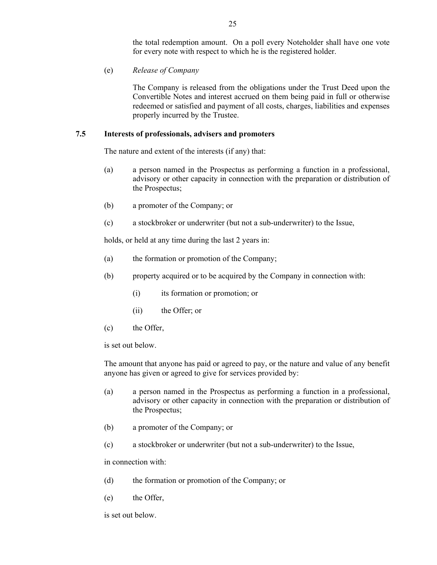the total redemption amount. On a poll every Noteholder shall have one vote for every note with respect to which he is the registered holder.

(e) *Release of Company*

The Company is released from the obligations under the Trust Deed upon the Convertible Notes and interest accrued on them being paid in full or otherwise redeemed or satisfied and payment of all costs, charges, liabilities and expenses properly incurred by the Trustee.

#### **7.5 Interests of professionals, advisers and promoters**

The nature and extent of the interests (if any) that:

- (a) a person named in the Prospectus as performing a function in a professional, advisory or other capacity in connection with the preparation or distribution of the Prospectus;
- (b) a promoter of the Company; or
- (c) a stockbroker or underwriter (but not a sub-underwriter) to the Issue,

holds, or held at any time during the last 2 years in:

- (a) the formation or promotion of the Company;
- (b) property acquired or to be acquired by the Company in connection with:
	- (i) its formation or promotion; or
	- (ii) the Offer; or
- (c) the Offer,

is set out below.

The amount that anyone has paid or agreed to pay, or the nature and value of any benefit anyone has given or agreed to give for services provided by:

- (a) a person named in the Prospectus as performing a function in a professional, advisory or other capacity in connection with the preparation or distribution of the Prospectus;
- (b) a promoter of the Company; or
- (c) a stockbroker or underwriter (but not a sub-underwriter) to the Issue,

in connection with:

- (d) the formation or promotion of the Company; or
- (e) the Offer,

is set out below.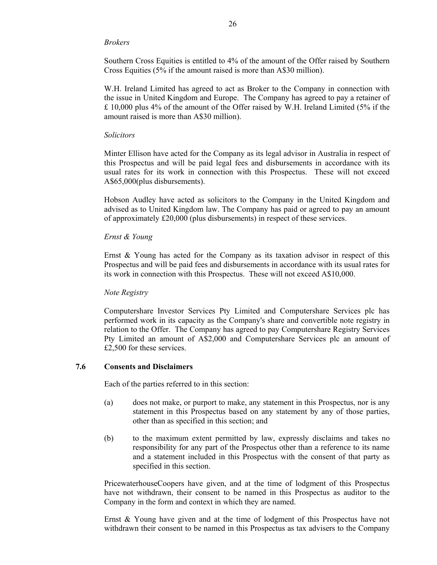#### *Brokers*

Southern Cross Equities is entitled to 4% of the amount of the Offer raised by Southern Cross Equities (5% if the amount raised is more than A\$30 million).

W.H. Ireland Limited has agreed to act as Broker to the Company in connection with the issue in United Kingdom and Europe. The Company has agreed to pay a retainer of £ 10,000 plus 4% of the amount of the Offer raised by W.H. Ireland Limited (5% if the amount raised is more than A\$30 million).

#### *Solicitors*

Minter Ellison have acted for the Company as its legal advisor in Australia in respect of this Prospectus and will be paid legal fees and disbursements in accordance with its usual rates for its work in connection with this Prospectus. These will not exceed A\$65,000(plus disbursements).

Hobson Audley have acted as solicitors to the Company in the United Kingdom and advised as to United Kingdom law. The Company has paid or agreed to pay an amount of approximately £20,000 (plus disbursements) in respect of these services.

## *Ernst & Young*

Ernst & Young has acted for the Company as its taxation advisor in respect of this Prospectus and will be paid fees and disbursements in accordance with its usual rates for its work in connection with this Prospectus. These will not exceed A\$10,000.

#### *Note Registry*

Computershare Investor Services Pty Limited and Computershare Services plc has performed work in its capacity as the Company's share and convertible note registry in relation to the Offer. The Company has agreed to pay Computershare Registry Services Pty Limited an amount of A\$2,000 and Computershare Services plc an amount of £2,500 for these services.

#### **7.6 Consents and Disclaimers**

Each of the parties referred to in this section:

- (a) does not make, or purport to make, any statement in this Prospectus, nor is any statement in this Prospectus based on any statement by any of those parties, other than as specified in this section; and
- (b) to the maximum extent permitted by law, expressly disclaims and takes no responsibility for any part of the Prospectus other than a reference to its name and a statement included in this Prospectus with the consent of that party as specified in this section.

PricewaterhouseCoopers have given, and at the time of lodgment of this Prospectus have not withdrawn, their consent to be named in this Prospectus as auditor to the Company in the form and context in which they are named.

Ernst & Young have given and at the time of lodgment of this Prospectus have not withdrawn their consent to be named in this Prospectus as tax advisers to the Company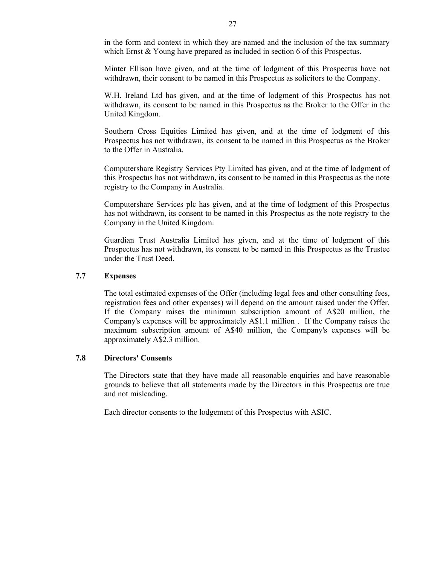in the form and context in which they are named and the inclusion of the tax summary which Ernst & Young have prepared as included in section 6 of this Prospectus.

Minter Ellison have given, and at the time of lodgment of this Prospectus have not withdrawn, their consent to be named in this Prospectus as solicitors to the Company.

W.H. Ireland Ltd has given, and at the time of lodgment of this Prospectus has not withdrawn, its consent to be named in this Prospectus as the Broker to the Offer in the United Kingdom.

Southern Cross Equities Limited has given, and at the time of lodgment of this Prospectus has not withdrawn, its consent to be named in this Prospectus as the Broker to the Offer in Australia.

Computershare Registry Services Pty Limited has given, and at the time of lodgment of this Prospectus has not withdrawn, its consent to be named in this Prospectus as the note registry to the Company in Australia.

Computershare Services plc has given, and at the time of lodgment of this Prospectus has not withdrawn, its consent to be named in this Prospectus as the note registry to the Company in the United Kingdom.

Guardian Trust Australia Limited has given, and at the time of lodgment of this Prospectus has not withdrawn, its consent to be named in this Prospectus as the Trustee under the Trust Deed.

#### **7.7 Expenses**

The total estimated expenses of the Offer (including legal fees and other consulting fees, registration fees and other expenses) will depend on the amount raised under the Offer. If the Company raises the minimum subscription amount of A\$20 million, the Company's expenses will be approximately A\$1.1 million . If the Company raises the maximum subscription amount of A\$40 million, the Company's expenses will be approximately A\$2.3 million.

## **7.8 Directors' Consents**

The Directors state that they have made all reasonable enquiries and have reasonable grounds to believe that all statements made by the Directors in this Prospectus are true and not misleading.

Each director consents to the lodgement of this Prospectus with ASIC.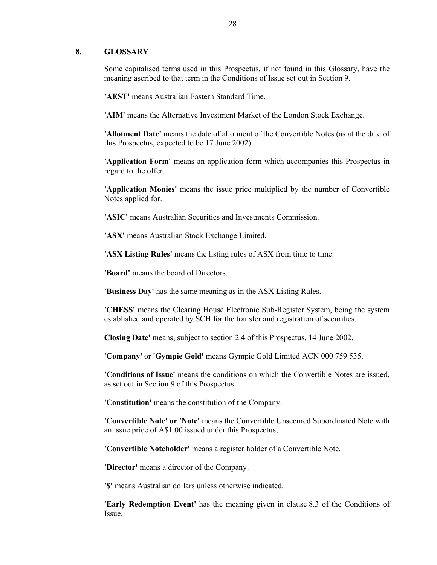#### **8. GLOSSARY**

Some capitalised terms used in this Prospectus, if not found in this Glossary, have the meaning ascribed to that term in the Conditions of Issue set out in Section 9.

**'AEST'** means Australian Eastern Standard Time.

**'AIM'** means the Alternative Investment Market of the London Stock Exchange.

**'Allotment Date'** means the date of allotment of the Convertible Notes (as at the date of this Prospectus, expected to be 17 June 2002).

**'Application Form'** means an application form which accompanies this Prospectus in regard to the offer.

**'Application Monies'** means the issue price multiplied by the number of Convertible Notes applied for.

**'ASIC'** means Australian Securities and Investments Commission.

**'ASX'** means Australian Stock Exchange Limited.

**'ASX Listing Rules'** means the listing rules of ASX from time to time.

**'Board'** means the board of Directors.

**'Business Day'** has the same meaning as in the ASX Listing Rules.

**'CHESS'** means the Clearing House Electronic Sub-Register System, being the system established and operated by SCH for the transfer and registration of securities.

**Closing Date'** means, subject to section 2.4 of this Prospectus, 14 June 2002.

**'Company'** or **'Gympie Gold'** means Gympie Gold Limited ACN 000 759 535.

**'Conditions of Issue'** means the conditions on which the Convertible Notes are issued, as set out in Section 9 of this Prospectus.

**'Constitution'** means the constitution of the Company.

**'Convertible Note' or 'Note'** means the Convertible Unsecured Subordinated Note with an issue price of A\$1.00 issued under this Prospectus;

**'Convertible Noteholder'** means a register holder of a Convertible Note.

**'Director'** means a director of the Company.

**'\$'** means Australian dollars unless otherwise indicated.

**'Early Redemption Event'** has the meaning given in clause 8.3 of the Conditions of Issue.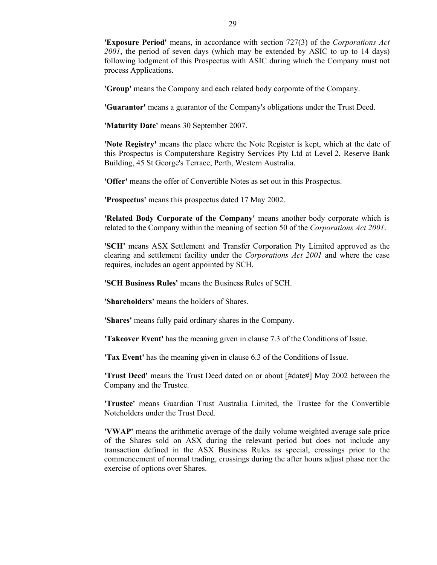**'Exposure Period'** means, in accordance with section 727(3) of the *Corporations Act 2001*, the period of seven days (which may be extended by ASIC to up to 14 days) following lodgment of this Prospectus with ASIC during which the Company must not process Applications.

**'Group'** means the Company and each related body corporate of the Company.

**'Guarantor'** means a guarantor of the Company's obligations under the Trust Deed.

**'Maturity Date'** means 30 September 2007.

**'Note Registry'** means the place where the Note Register is kept, which at the date of this Prospectus is Computershare Registry Services Pty Ltd at Level 2, Reserve Bank Building, 45 St George's Terrace, Perth, Western Australia.

**'Offer'** means the offer of Convertible Notes as set out in this Prospectus.

**'Prospectus'** means this prospectus dated 17 May 2002.

**'Related Body Corporate of the Company'** means another body corporate which is related to the Company within the meaning of section 50 of the *Corporations Act 2001*.

**'SCH'** means ASX Settlement and Transfer Corporation Pty Limited approved as the clearing and settlement facility under the *Corporations Act 2001* and where the case requires, includes an agent appointed by SCH.

**'SCH Business Rules'** means the Business Rules of SCH.

**'Shareholders'** means the holders of Shares.

**'Shares'** means fully paid ordinary shares in the Company.

**'Takeover Event'** has the meaning given in clause 7.3 of the Conditions of Issue.

**'Tax Event'** has the meaning given in clause 6.3 of the Conditions of Issue.

**'Trust Deed'** means the Trust Deed dated on or about [#date#] May 2002 between the Company and the Trustee.

**'Trustee'** means Guardian Trust Australia Limited, the Trustee for the Convertible Noteholders under the Trust Deed.

**'VWAP'** means the arithmetic average of the daily volume weighted average sale price of the Shares sold on ASX during the relevant period but does not include any transaction defined in the ASX Business Rules as special, crossings prior to the commencement of normal trading, crossings during the after hours adjust phase nor the exercise of options over Shares.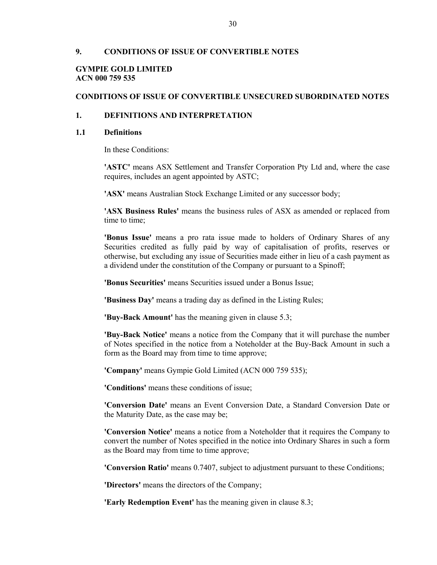#### **9. CONDITIONS OF ISSUE OF CONVERTIBLE NOTES**

#### **GYMPIE GOLD LIMITED ACN 000 759 535**

#### **CONDITIONS OF ISSUE OF CONVERTIBLE UNSECURED SUBORDINATED NOTES**

#### **1. DEFINITIONS AND INTERPRETATION**

#### **1.1 Definitions**

In these Conditions:

**'ASTC'** means ASX Settlement and Transfer Corporation Pty Ltd and, where the case requires, includes an agent appointed by ASTC;

**'ASX'** means Australian Stock Exchange Limited or any successor body;

**'ASX Business Rules'** means the business rules of ASX as amended or replaced from time to time;

**'Bonus Issue'** means a pro rata issue made to holders of Ordinary Shares of any Securities credited as fully paid by way of capitalisation of profits, reserves or otherwise, but excluding any issue of Securities made either in lieu of a cash payment as a dividend under the constitution of the Company or pursuant to a Spinoff;

**'Bonus Securities'** means Securities issued under a Bonus Issue;

**'Business Day'** means a trading day as defined in the Listing Rules;

**'Buy-Back Amount'** has the meaning given in clause 5.3;

**'Buy-Back Notice'** means a notice from the Company that it will purchase the number of Notes specified in the notice from a Noteholder at the Buy-Back Amount in such a form as the Board may from time to time approve;

**'Company'** means Gympie Gold Limited (ACN 000 759 535);

**'Conditions'** means these conditions of issue;

**'Conversion Date'** means an Event Conversion Date, a Standard Conversion Date or the Maturity Date, as the case may be;

**'Conversion Notice'** means a notice from a Noteholder that it requires the Company to convert the number of Notes specified in the notice into Ordinary Shares in such a form as the Board may from time to time approve;

**'Conversion Ratio'** means 0.7407, subject to adjustment pursuant to these Conditions;

**'Directors'** means the directors of the Company;

**'Early Redemption Event'** has the meaning given in clause 8.3;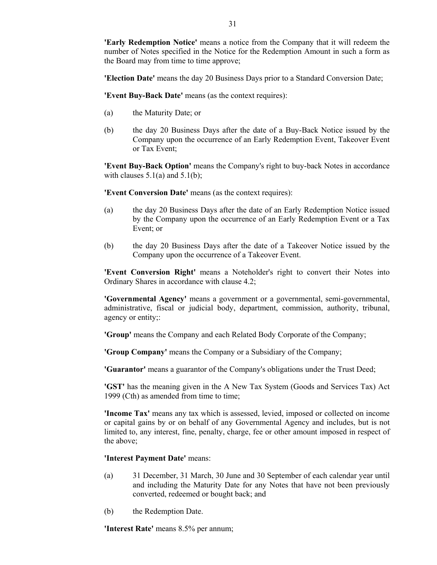**'Early Redemption Notice'** means a notice from the Company that it will redeem the number of Notes specified in the Notice for the Redemption Amount in such a form as the Board may from time to time approve;

**'Election Date'** means the day 20 Business Days prior to a Standard Conversion Date;

**'Event Buy-Back Date'** means (as the context requires):

- (a) the Maturity Date; or
- (b) the day 20 Business Days after the date of a Buy-Back Notice issued by the Company upon the occurrence of an Early Redemption Event, Takeover Event or Tax Event;

**'Event Buy-Back Option'** means the Company's right to buy-back Notes in accordance with clauses  $5.1(a)$  and  $5.1(b)$ ;

**'Event Conversion Date'** means (as the context requires):

- (a) the day 20 Business Days after the date of an Early Redemption Notice issued by the Company upon the occurrence of an Early Redemption Event or a Tax Event; or
- (b) the day 20 Business Days after the date of a Takeover Notice issued by the Company upon the occurrence of a Takeover Event.

**'Event Conversion Right'** means a Noteholder's right to convert their Notes into Ordinary Shares in accordance with clause 4.2;

**'Governmental Agency'** means a government or a governmental, semi-governmental, administrative, fiscal or judicial body, department, commission, authority, tribunal, agency or entity;:

**'Group'** means the Company and each Related Body Corporate of the Company;

**'Group Company'** means the Company or a Subsidiary of the Company;

**'Guarantor'** means a guarantor of the Company's obligations under the Trust Deed;

**'GST'** has the meaning given in the A New Tax System (Goods and Services Tax) Act 1999 (Cth) as amended from time to time;

**'Income Tax'** means any tax which is assessed, levied, imposed or collected on income or capital gains by or on behalf of any Governmental Agency and includes, but is not limited to, any interest, fine, penalty, charge, fee or other amount imposed in respect of the above;

#### **'Interest Payment Date'** means:

- (a) 31 December, 31 March, 30 June and 30 September of each calendar year until and including the Maturity Date for any Notes that have not been previously converted, redeemed or bought back; and
- (b) the Redemption Date.

**'Interest Rate'** means 8.5% per annum;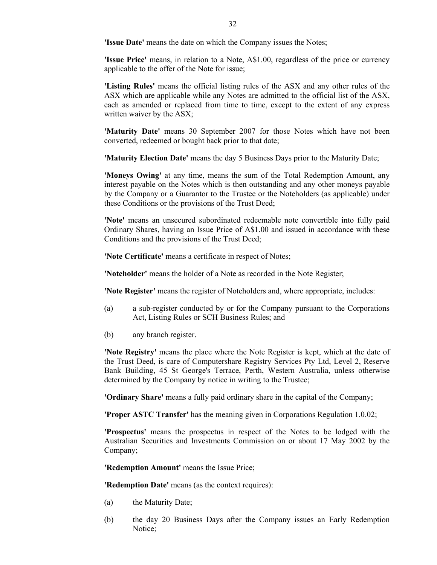**'Issue Date'** means the date on which the Company issues the Notes;

**'Issue Price'** means, in relation to a Note, A\$1.00, regardless of the price or currency applicable to the offer of the Note for issue;

**'Listing Rules'** means the official listing rules of the ASX and any other rules of the ASX which are applicable while any Notes are admitted to the official list of the ASX, each as amended or replaced from time to time, except to the extent of any express written waiver by the ASX;

**'Maturity Date'** means 30 September 2007 for those Notes which have not been converted, redeemed or bought back prior to that date;

**'Maturity Election Date'** means the day 5 Business Days prior to the Maturity Date;

**'Moneys Owing'** at any time, means the sum of the Total Redemption Amount, any interest payable on the Notes which is then outstanding and any other moneys payable by the Company or a Guarantor to the Trustee or the Noteholders (as applicable) under these Conditions or the provisions of the Trust Deed;

**'Note'** means an unsecured subordinated redeemable note convertible into fully paid Ordinary Shares, having an Issue Price of A\$1.00 and issued in accordance with these Conditions and the provisions of the Trust Deed;

**'Note Certificate'** means a certificate in respect of Notes;

**'Noteholder'** means the holder of a Note as recorded in the Note Register;

**'Note Register'** means the register of Noteholders and, where appropriate, includes:

- (a) a sub-register conducted by or for the Company pursuant to the Corporations Act, Listing Rules or SCH Business Rules; and
- (b) any branch register.

**'Note Registry'** means the place where the Note Register is kept, which at the date of the Trust Deed, is care of Computershare Registry Services Pty Ltd, Level 2, Reserve Bank Building, 45 St George's Terrace, Perth, Western Australia, unless otherwise determined by the Company by notice in writing to the Trustee;

**'Ordinary Share'** means a fully paid ordinary share in the capital of the Company;

**'Proper ASTC Transfer'** has the meaning given in Corporations Regulation 1.0.02;

**'Prospectus'** means the prospectus in respect of the Notes to be lodged with the Australian Securities and Investments Commission on or about 17 May 2002 by the Company;

**'Redemption Amount'** means the Issue Price;

**'Redemption Date'** means (as the context requires):

- (a) the Maturity Date;
- (b) the day 20 Business Days after the Company issues an Early Redemption Notice;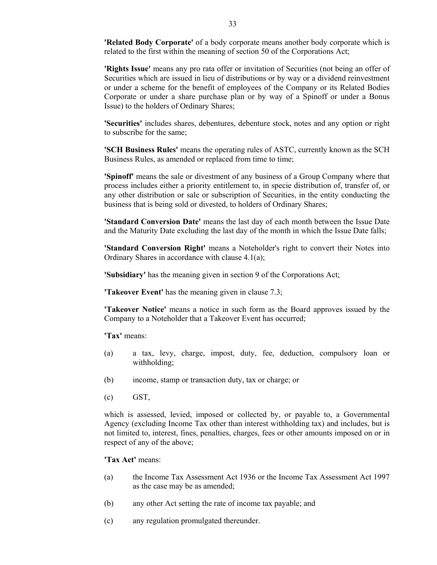'Related Body Corporate' of a body corporate means another body corporate which is related to the first within the meaning of section 50 of the Corporations Act;

**'Rights Issue'** means any pro rata offer or invitation of Securities (not being an offer of Securities which are issued in lieu of distributions or by way or a dividend reinvestment or under a scheme for the benefit of employees of the Company or its Related Bodies Corporate or under a share purchase plan or by way of a Spinoff or under a Bonus Issue) to the holders of Ordinary Shares;

**'Securities'** includes shares, debentures, debenture stock, notes and any option or right to subscribe for the same;

**'SCH Business Rules'** means the operating rules of ASTC, currently known as the SCH Business Rules, as amended or replaced from time to time;

**'Spinoff'** means the sale or divestment of any business of a Group Company where that process includes either a priority entitlement to, in specie distribution of, transfer of, or any other distribution or sale or subscription of Securities, in the entity conducting the business that is being sold or divested, to holders of Ordinary Shares;

**'Standard Conversion Date'** means the last day of each month between the Issue Date and the Maturity Date excluding the last day of the month in which the Issue Date falls;

**'Standard Conversion Right'** means a Noteholder's right to convert their Notes into Ordinary Shares in accordance with clause 4.1(a);

**'Subsidiary'** has the meaning given in section 9 of the Corporations Act;

**'Takeover Event'** has the meaning given in clause 7.3;

**'Takeover Notice'** means a notice in such form as the Board approves issued by the Company to a Noteholder that a Takeover Event has occurred;

**'Tax'** means:

- (a) a tax, levy, charge, impost, duty, fee, deduction, compulsory loan or withholding;
- (b) income, stamp or transaction duty, tax or charge; or
- (c) GST,

which is assessed, levied, imposed or collected by, or payable to, a Governmental Agency (excluding Income Tax other than interest withholding tax) and includes, but is not limited to, interest, fines, penalties, charges, fees or other amounts imposed on or in respect of any of the above;

**'Tax Act'** means:

- (a) the Income Tax Assessment Act 1936 or the Income Tax Assessment Act 1997 as the case may be as amended;
- (b) any other Act setting the rate of income tax payable; and
- (c) any regulation promulgated thereunder.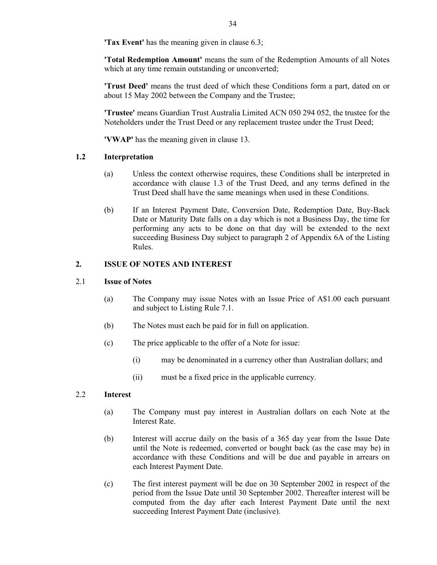**'Tax Event'** has the meaning given in clause 6.3;

**'Total Redemption Amount'** means the sum of the Redemption Amounts of all Notes which at any time remain outstanding or unconverted;

**'Trust Deed'** means the trust deed of which these Conditions form a part, dated on or about 15 May 2002 between the Company and the Trustee;

**'Trustee'** means Guardian Trust Australia Limited ACN 050 294 052, the trustee for the Noteholders under the Trust Deed or any replacement trustee under the Trust Deed;

**'VWAP'** has the meaning given in clause 13.

## **1.2 Interpretation**

- (a) Unless the context otherwise requires, these Conditions shall be interpreted in accordance with clause 1.3 of the Trust Deed, and any terms defined in the Trust Deed shall have the same meanings when used in these Conditions.
- (b) If an Interest Payment Date, Conversion Date, Redemption Date, Buy-Back Date or Maturity Date falls on a day which is not a Business Day, the time for performing any acts to be done on that day will be extended to the next succeeding Business Day subject to paragraph 2 of Appendix 6A of the Listing Rules.

## **2. ISSUE OF NOTES AND INTEREST**

#### 2.1 **Issue of Notes**

- (a) The Company may issue Notes with an Issue Price of A\$1.00 each pursuant and subject to Listing Rule 7.1.
- (b) The Notes must each be paid for in full on application.
- (c) The price applicable to the offer of a Note for issue:
	- (i) may be denominated in a currency other than Australian dollars; and
	- (ii) must be a fixed price in the applicable currency.

#### 2.2 **Interest**

- (a) The Company must pay interest in Australian dollars on each Note at the Interest Rate.
- (b) Interest will accrue daily on the basis of a 365 day year from the Issue Date until the Note is redeemed, converted or bought back (as the case may be) in accordance with these Conditions and will be due and payable in arrears on each Interest Payment Date.
- (c) The first interest payment will be due on 30 September 2002 in respect of the period from the Issue Date until 30 September 2002. Thereafter interest will be computed from the day after each Interest Payment Date until the next succeeding Interest Payment Date (inclusive).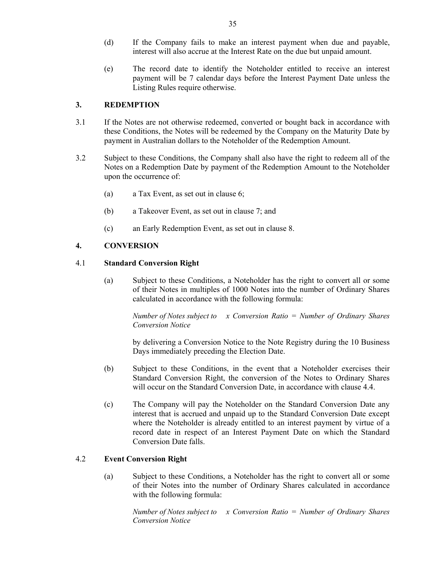- (d) If the Company fails to make an interest payment when due and payable, interest will also accrue at the Interest Rate on the due but unpaid amount.
- (e) The record date to identify the Noteholder entitled to receive an interest payment will be 7 calendar days before the Interest Payment Date unless the Listing Rules require otherwise.

## **3. REDEMPTION**

- 3.1 If the Notes are not otherwise redeemed, converted or bought back in accordance with these Conditions, the Notes will be redeemed by the Company on the Maturity Date by payment in Australian dollars to the Noteholder of the Redemption Amount.
- 3.2 Subject to these Conditions, the Company shall also have the right to redeem all of the Notes on a Redemption Date by payment of the Redemption Amount to the Noteholder upon the occurrence of:
	- (a) a Tax Event, as set out in clause 6;
	- (b) a Takeover Event, as set out in clause 7; and
	- (c) an Early Redemption Event, as set out in clause 8.

## **4. CONVERSION**

## 4.1 **Standard Conversion Right**

(a) Subject to these Conditions, a Noteholder has the right to convert all or some of their Notes in multiples of 1000 Notes into the number of Ordinary Shares calculated in accordance with the following formula:

*Number of Notes subject to x Conversion Ratio = Number of Ordinary Shares Conversion Notice* 

by delivering a Conversion Notice to the Note Registry during the 10 Business Days immediately preceding the Election Date.

- (b) Subject to these Conditions, in the event that a Noteholder exercises their Standard Conversion Right, the conversion of the Notes to Ordinary Shares will occur on the Standard Conversion Date, in accordance with clause 4.4.
- (c) The Company will pay the Noteholder on the Standard Conversion Date any interest that is accrued and unpaid up to the Standard Conversion Date except where the Noteholder is already entitled to an interest payment by virtue of a record date in respect of an Interest Payment Date on which the Standard Conversion Date falls.

## 4.2 **Event Conversion Right**

(a) Subject to these Conditions, a Noteholder has the right to convert all or some of their Notes into the number of Ordinary Shares calculated in accordance with the following formula:

*Number of Notes subject to x Conversion Ratio = Number of Ordinary Shares Conversion Notice*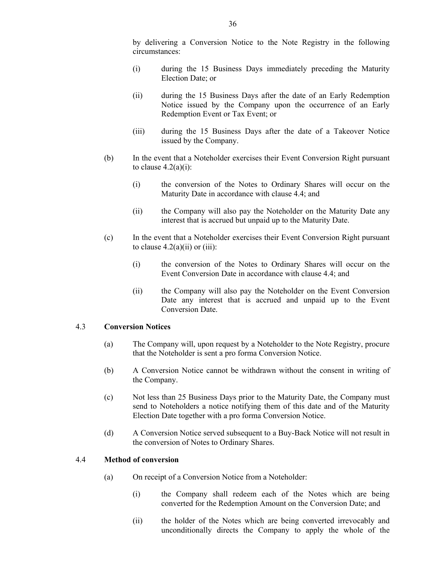by delivering a Conversion Notice to the Note Registry in the following circumstances:

- (i) during the 15 Business Days immediately preceding the Maturity Election Date; or
- (ii) during the 15 Business Days after the date of an Early Redemption Notice issued by the Company upon the occurrence of an Early Redemption Event or Tax Event; or
- (iii) during the 15 Business Days after the date of a Takeover Notice issued by the Company.
- (b) In the event that a Noteholder exercises their Event Conversion Right pursuant to clause  $4.2(a)(i)$ :
	- (i) the conversion of the Notes to Ordinary Shares will occur on the Maturity Date in accordance with clause 4.4; and
	- (ii) the Company will also pay the Noteholder on the Maturity Date any interest that is accrued but unpaid up to the Maturity Date.
- (c) In the event that a Noteholder exercises their Event Conversion Right pursuant to clause  $4.2(a)(ii)$  or  $(iii)$ :
	- (i) the conversion of the Notes to Ordinary Shares will occur on the Event Conversion Date in accordance with clause 4.4; and
	- (ii) the Company will also pay the Noteholder on the Event Conversion Date any interest that is accrued and unpaid up to the Event Conversion Date.

#### 4.3 **Conversion Notices**

- (a) The Company will, upon request by a Noteholder to the Note Registry, procure that the Noteholder is sent a pro forma Conversion Notice.
- (b) A Conversion Notice cannot be withdrawn without the consent in writing of the Company.
- (c) Not less than 25 Business Days prior to the Maturity Date, the Company must send to Noteholders a notice notifying them of this date and of the Maturity Election Date together with a pro forma Conversion Notice.
- (d) A Conversion Notice served subsequent to a Buy-Back Notice will not result in the conversion of Notes to Ordinary Shares.

#### 4.4 **Method of conversion**

- (a) On receipt of a Conversion Notice from a Noteholder:
	- (i) the Company shall redeem each of the Notes which are being converted for the Redemption Amount on the Conversion Date; and
	- (ii) the holder of the Notes which are being converted irrevocably and unconditionally directs the Company to apply the whole of the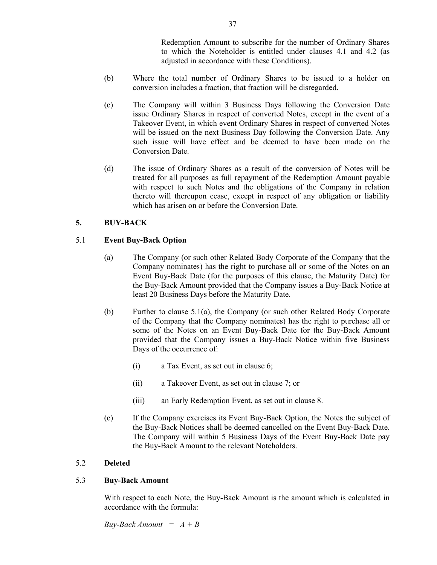Redemption Amount to subscribe for the number of Ordinary Shares to which the Noteholder is entitled under clauses 4.1 and 4.2 (as adjusted in accordance with these Conditions).

- (b) Where the total number of Ordinary Shares to be issued to a holder on conversion includes a fraction, that fraction will be disregarded.
- (c) The Company will within 3 Business Days following the Conversion Date issue Ordinary Shares in respect of converted Notes, except in the event of a Takeover Event, in which event Ordinary Shares in respect of converted Notes will be issued on the next Business Day following the Conversion Date. Any such issue will have effect and be deemed to have been made on the Conversion Date.
- (d) The issue of Ordinary Shares as a result of the conversion of Notes will be treated for all purposes as full repayment of the Redemption Amount payable with respect to such Notes and the obligations of the Company in relation thereto will thereupon cease, except in respect of any obligation or liability which has arisen on or before the Conversion Date.

## **5. BUY-BACK**

## 5.1 **Event Buy-Back Option**

- (a) The Company (or such other Related Body Corporate of the Company that the Company nominates) has the right to purchase all or some of the Notes on an Event Buy-Back Date (for the purposes of this clause, the Maturity Date) for the Buy-Back Amount provided that the Company issues a Buy-Back Notice at least 20 Business Days before the Maturity Date.
- (b) Further to clause 5.1(a), the Company (or such other Related Body Corporate of the Company that the Company nominates) has the right to purchase all or some of the Notes on an Event Buy-Back Date for the Buy-Back Amount provided that the Company issues a Buy-Back Notice within five Business Days of the occurrence of:
	- (i) a Tax Event, as set out in clause 6;
	- (ii) a Takeover Event, as set out in clause 7; or
	- (iii) an Early Redemption Event, as set out in clause 8.
- (c) If the Company exercises its Event Buy-Back Option, the Notes the subject of the Buy-Back Notices shall be deemed cancelled on the Event Buy-Back Date. The Company will within 5 Business Days of the Event Buy-Back Date pay the Buy-Back Amount to the relevant Noteholders.

#### 5.2 **Deleted**

#### 5.3 **Buy-Back Amount**

With respect to each Note, the Buy-Back Amount is the amount which is calculated in accordance with the formula:

*Buy-Back Amount = A + B*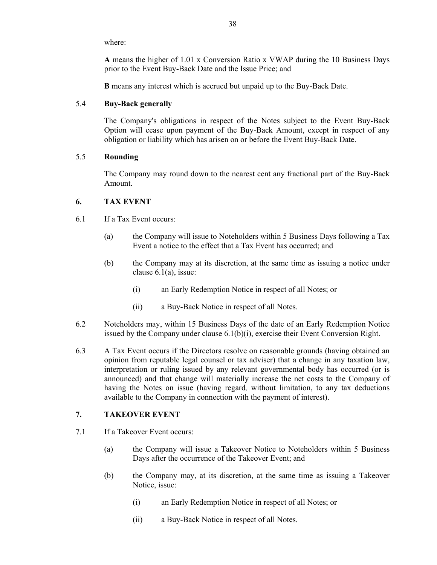where:

**A** means the higher of 1.01 x Conversion Ratio x VWAP during the 10 Business Days prior to the Event Buy-Back Date and the Issue Price; and

**B** means any interest which is accrued but unpaid up to the Buy-Back Date.

## 5.4 **Buy-Back generally**

The Company's obligations in respect of the Notes subject to the Event Buy-Back Option will cease upon payment of the Buy-Back Amount, except in respect of any obligation or liability which has arisen on or before the Event Buy-Back Date.

## 5.5 **Rounding**

The Company may round down to the nearest cent any fractional part of the Buy-Back Amount.

## **6. TAX EVENT**

- 6.1 If a Tax Event occurs:
	- (a) the Company will issue to Noteholders within 5 Business Days following a Tax Event a notice to the effect that a Tax Event has occurred; and
	- (b) the Company may at its discretion, at the same time as issuing a notice under clause 6.1(a), issue:
		- (i) an Early Redemption Notice in respect of all Notes; or
		- (ii) a Buy-Back Notice in respect of all Notes.
- 6.2 Noteholders may, within 15 Business Days of the date of an Early Redemption Notice issued by the Company under clause 6.1(b)(i), exercise their Event Conversion Right.
- 6.3 A Tax Event occurs if the Directors resolve on reasonable grounds (having obtained an opinion from reputable legal counsel or tax adviser) that a change in any taxation law, interpretation or ruling issued by any relevant governmental body has occurred (or is announced) and that change will materially increase the net costs to the Company of having the Notes on issue (having regard*,* without limitation, to any tax deductions available to the Company in connection with the payment of interest).

## **7. TAKEOVER EVENT**

- 7.1 If a Takeover Event occurs:
	- (a) the Company will issue a Takeover Notice to Noteholders within 5 Business Days after the occurrence of the Takeover Event; and
	- (b) the Company may, at its discretion, at the same time as issuing a Takeover Notice, issue:
		- (i) an Early Redemption Notice in respect of all Notes; or
		- (ii) a Buy-Back Notice in respect of all Notes.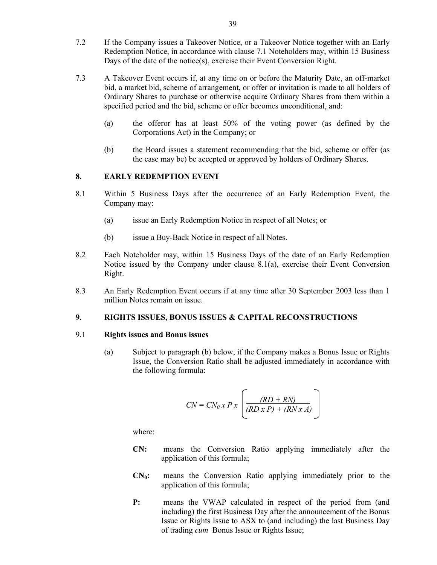- 7.2 If the Company issues a Takeover Notice, or a Takeover Notice together with an Early Redemption Notice, in accordance with clause 7.1 Noteholders may, within 15 Business Days of the date of the notice(s), exercise their Event Conversion Right.
- 7.3 A Takeover Event occurs if, at any time on or before the Maturity Date, an off-market bid, a market bid, scheme of arrangement, or offer or invitation is made to all holders of Ordinary Shares to purchase or otherwise acquire Ordinary Shares from them within a specified period and the bid, scheme or offer becomes unconditional, and:
	- (a) the offeror has at least 50% of the voting power (as defined by the Corporations Act) in the Company; or
	- (b) the Board issues a statement recommending that the bid, scheme or offer (as the case may be) be accepted or approved by holders of Ordinary Shares.

## **8. EARLY REDEMPTION EVENT**

- 8.1 Within 5 Business Days after the occurrence of an Early Redemption Event, the Company may:
	- (a) issue an Early Redemption Notice in respect of all Notes; or
	- (b) issue a Buy-Back Notice in respect of all Notes.
- 8.2 Each Noteholder may, within 15 Business Days of the date of an Early Redemption Notice issued by the Company under clause  $8.1(a)$ , exercise their Event Conversion Right.
- 8.3 An Early Redemption Event occurs if at any time after 30 September 2003 less than 1 million Notes remain on issue.

#### **9. RIGHTS ISSUES, BONUS ISSUES & CAPITAL RECONSTRUCTIONS**

#### 9.1 **Rights issues and Bonus issues**

(a) Subject to paragraph (b) below, if the Company makes a Bonus Issue or Rights Issue, the Conversion Ratio shall be adjusted immediately in accordance with the following formula:

$$
CN = CN_0 x P x \left[ \frac{(RD + RN)}{(RD x P) + (RN x A)} \right]
$$

where:

- **CN:** means the Conversion Ratio applying immediately after the application of this formula;
- CN<sub>0</sub>: means the Conversion Ratio applying immediately prior to the application of this formula;
- **P:** means the VWAP calculated in respect of the period from (and including) the first Business Day after the announcement of the Bonus Issue or Rights Issue to ASX to (and including) the last Business Day of trading *cum* Bonus Issue or Rights Issue;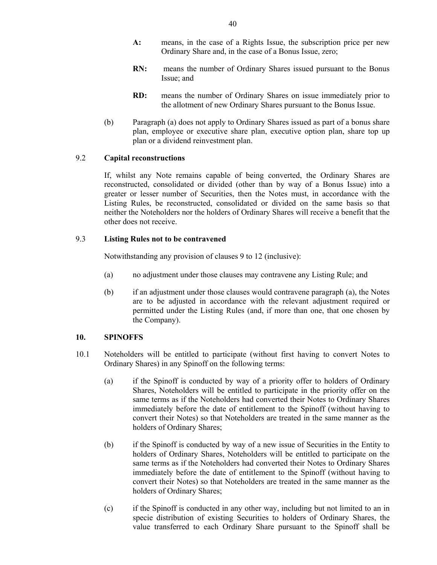- **A:** means, in the case of a Rights Issue, the subscription price per new Ordinary Share and, in the case of a Bonus Issue, zero;
- **RN:** means the number of Ordinary Shares issued pursuant to the Bonus Issue; and
- **RD:** means the number of Ordinary Shares on issue immediately prior to the allotment of new Ordinary Shares pursuant to the Bonus Issue.
- (b) Paragraph (a) does not apply to Ordinary Shares issued as part of a bonus share plan, employee or executive share plan, executive option plan, share top up plan or a dividend reinvestment plan.

## 9.2 **Capital reconstructions**

If, whilst any Note remains capable of being converted, the Ordinary Shares are reconstructed, consolidated or divided (other than by way of a Bonus Issue) into a greater or lesser number of Securities, then the Notes must, in accordance with the Listing Rules, be reconstructed, consolidated or divided on the same basis so that neither the Noteholders nor the holders of Ordinary Shares will receive a benefit that the other does not receive.

## 9.3 **Listing Rules not to be contravened**

Notwithstanding any provision of clauses 9 to 12 (inclusive):

- (a) no adjustment under those clauses may contravene any Listing Rule; and
- (b) if an adjustment under those clauses would contravene paragraph (a), the Notes are to be adjusted in accordance with the relevant adjustment required or permitted under the Listing Rules (and, if more than one, that one chosen by the Company).

## **10. SPINOFFS**

- 10.1 Noteholders will be entitled to participate (without first having to convert Notes to Ordinary Shares) in any Spinoff on the following terms:
	- (a) if the Spinoff is conducted by way of a priority offer to holders of Ordinary Shares, Noteholders will be entitled to participate in the priority offer on the same terms as if the Noteholders had converted their Notes to Ordinary Shares immediately before the date of entitlement to the Spinoff (without having to convert their Notes) so that Noteholders are treated in the same manner as the holders of Ordinary Shares;
	- (b) if the Spinoff is conducted by way of a new issue of Securities in the Entity to holders of Ordinary Shares, Noteholders will be entitled to participate on the same terms as if the Noteholders had converted their Notes to Ordinary Shares immediately before the date of entitlement to the Spinoff (without having to convert their Notes) so that Noteholders are treated in the same manner as the holders of Ordinary Shares;
	- (c) if the Spinoff is conducted in any other way, including but not limited to an in specie distribution of existing Securities to holders of Ordinary Shares, the value transferred to each Ordinary Share pursuant to the Spinoff shall be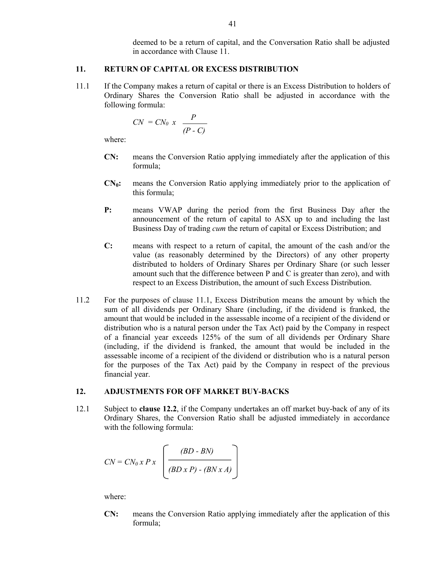deemed to be a return of capital, and the Conversation Ratio shall be adjusted in accordance with Clause 11.

#### **11. RETURN OF CAPITAL OR EXCESS DISTRIBUTION**

11.1 If the Company makes a return of capital or there is an Excess Distribution to holders of Ordinary Shares the Conversion Ratio shall be adjusted in accordance with the following formula:

$$
CN = CN_0 x \frac{P}{(P-C)}
$$

where:

- **CN:** means the Conversion Ratio applying immediately after the application of this formula;
- $CN<sub>0</sub>$ : means the Conversion Ratio applying immediately prior to the application of this formula;
- **P:** means VWAP during the period from the first Business Day after the announcement of the return of capital to ASX up to and including the last Business Day of trading *cum* the return of capital or Excess Distribution; and
- **C:** means with respect to a return of capital, the amount of the cash and/or the value (as reasonably determined by the Directors) of any other property distributed to holders of Ordinary Shares per Ordinary Share (or such lesser amount such that the difference between P and C is greater than zero), and with respect to an Excess Distribution, the amount of such Excess Distribution.
- 11.2 For the purposes of clause 11.1, Excess Distribution means the amount by which the sum of all dividends per Ordinary Share (including, if the dividend is franked, the amount that would be included in the assessable income of a recipient of the dividend or distribution who is a natural person under the Tax Act) paid by the Company in respect of a financial year exceeds 125% of the sum of all dividends per Ordinary Share (including, if the dividend is franked, the amount that would be included in the assessable income of a recipient of the dividend or distribution who is a natural person for the purposes of the Tax Act) paid by the Company in respect of the previous financial year.

#### **12. ADJUSTMENTS FOR OFF MARKET BUY-BACKS**

12.1 Subject to **clause 12.2**, if the Company undertakes an off market buy-back of any of its Ordinary Shares, the Conversion Ratio shall be adjusted immediately in accordance with the following formula:

$$
CN = CN_0 x P x \left(\frac{(BD - BN)}{(BD x P) - (BN x A)}\right)
$$

where:

**CN:** means the Conversion Ratio applying immediately after the application of this formula;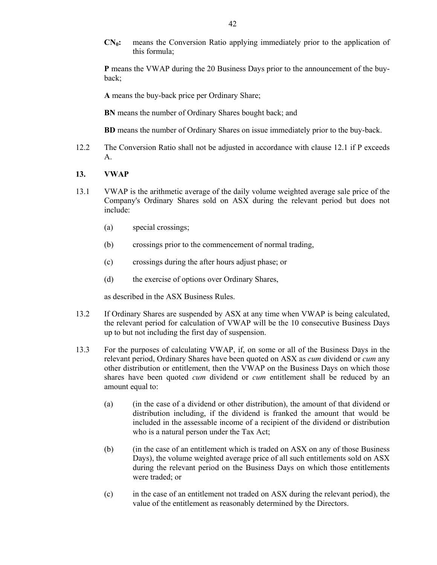**CN0:** means the Conversion Ratio applying immediately prior to the application of this formula;

**P** means the VWAP during the 20 Business Days prior to the announcement of the buyback;

**A** means the buy-back price per Ordinary Share;

**BN** means the number of Ordinary Shares bought back; and

**BD** means the number of Ordinary Shares on issue immediately prior to the buy-back.

12.2 The Conversion Ratio shall not be adjusted in accordance with clause 12.1 if P exceeds A.

#### **13. VWAP**

- 13.1 VWAP is the arithmetic average of the daily volume weighted average sale price of the Company's Ordinary Shares sold on ASX during the relevant period but does not include:
	- (a) special crossings;
	- (b) crossings prior to the commencement of normal trading,
	- (c) crossings during the after hours adjust phase; or
	- (d) the exercise of options over Ordinary Shares,

as described in the ASX Business Rules.

- 13.2 If Ordinary Shares are suspended by ASX at any time when VWAP is being calculated, the relevant period for calculation of VWAP will be the 10 consecutive Business Days up to but not including the first day of suspension.
- 13.3 For the purposes of calculating VWAP, if, on some or all of the Business Days in the relevant period, Ordinary Shares have been quoted on ASX as *cum* dividend or *cum* any other distribution or entitlement, then the VWAP on the Business Days on which those shares have been quoted *cum* dividend or *cum* entitlement shall be reduced by an amount equal to:
	- (a) (in the case of a dividend or other distribution), the amount of that dividend or distribution including, if the dividend is franked the amount that would be included in the assessable income of a recipient of the dividend or distribution who is a natural person under the Tax Act;
	- (b) (in the case of an entitlement which is traded on ASX on any of those Business Days), the volume weighted average price of all such entitlements sold on ASX during the relevant period on the Business Days on which those entitlements were traded; or
	- (c) in the case of an entitlement not traded on ASX during the relevant period), the value of the entitlement as reasonably determined by the Directors.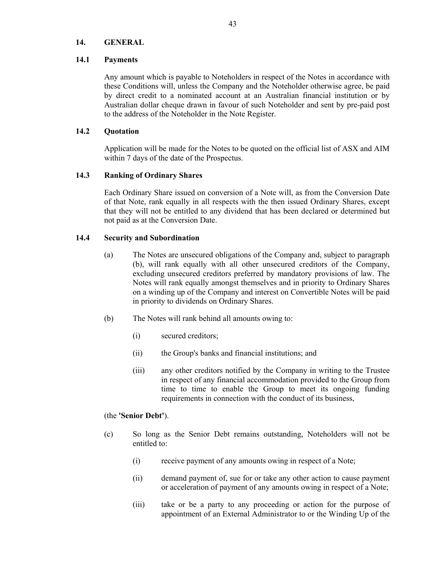#### **14. GENERAL**

#### **14.1 Payments**

Any amount which is payable to Noteholders in respect of the Notes in accordance with these Conditions will, unless the Company and the Noteholder otherwise agree, be paid by direct credit to a nominated account at an Australian financial institution or by Australian dollar cheque drawn in favour of such Noteholder and sent by pre-paid post to the address of the Noteholder in the Note Register.

#### **14.2 Quotation**

Application will be made for the Notes to be quoted on the official list of ASX and AIM within 7 days of the date of the Prospectus.

#### **14.3 Ranking of Ordinary Shares**

Each Ordinary Share issued on conversion of a Note will, as from the Conversion Date of that Note, rank equally in all respects with the then issued Ordinary Shares, except that they will not be entitled to any dividend that has been declared or determined but not paid as at the Conversion Date.

#### **14.4 Security and Subordination**

- (a) The Notes are unsecured obligations of the Company and, subject to paragraph (b), will rank equally with all other unsecured creditors of the Company, excluding unsecured creditors preferred by mandatory provisions of law. The Notes will rank equally amongst themselves and in priority to Ordinary Shares on a winding up of the Company and interest on Convertible Notes will be paid in priority to dividends on Ordinary Shares.
- (b) The Notes will rank behind all amounts owing to:
	- (i) secured creditors;
	- (ii) the Group's banks and financial institutions; and
	- (iii) any other creditors notified by the Company in writing to the Trustee in respect of any financial accommodation provided to the Group from time to time to enable the Group to meet its ongoing funding requirements in connection with the conduct of its business,

#### (the **'Senior Debt'**).

- (c) So long as the Senior Debt remains outstanding, Noteholders will not be entitled to:
	- (i) receive payment of any amounts owing in respect of a Note;
	- (ii) demand payment of, sue for or take any other action to cause payment or acceleration of payment of any amounts owing in respect of a Note;
	- (iii) take or be a party to any proceeding or action for the purpose of appointment of an External Administrator to or the Winding Up of the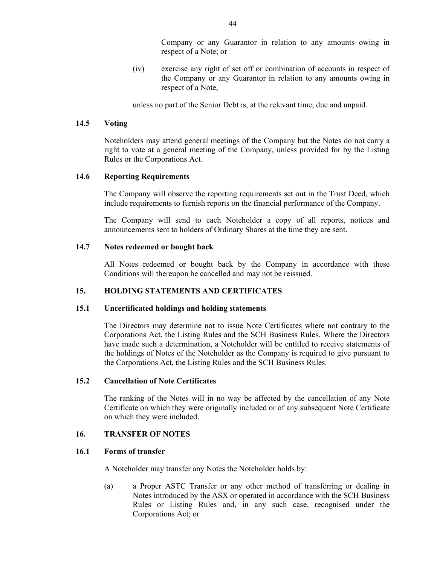Company or any Guarantor in relation to any amounts owing in respect of a Note; or

(iv) exercise any right of set off or combination of accounts in respect of the Company or any Guarantor in relation to any amounts owing in respect of a Note,

unless no part of the Senior Debt is, at the relevant time, due and unpaid.

#### **14.5 Voting**

Noteholders may attend general meetings of the Company but the Notes do not carry a right to vote at a general meeting of the Company, unless provided for by the Listing Rules or the Corporations Act.

## **14.6 Reporting Requirements**

The Company will observe the reporting requirements set out in the Trust Deed, which include requirements to furnish reports on the financial performance of the Company.

The Company will send to each Noteholder a copy of all reports, notices and announcements sent to holders of Ordinary Shares at the time they are sent.

## **14.7 Notes redeemed or bought back**

All Notes redeemed or bought back by the Company in accordance with these Conditions will thereupon be cancelled and may not be reissued.

## **15. HOLDING STATEMENTS AND CERTIFICATES**

#### **15.1 Uncertificated holdings and holding statements**

The Directors may determine not to issue Note Certificates where not contrary to the Corporations Act, the Listing Rules and the SCH Business Rules. Where the Directors have made such a determination, a Noteholder will be entitled to receive statements of the holdings of Notes of the Noteholder as the Company is required to give pursuant to the Corporations Act, the Listing Rules and the SCH Business Rules.

#### **15.2 Cancellation of Note Certificates**

The ranking of the Notes will in no way be affected by the cancellation of any Note Certificate on which they were originally included or of any subsequent Note Certificate on which they were included.

## **16. TRANSFER OF NOTES**

## **16.1 Forms of transfer**

A Noteholder may transfer any Notes the Noteholder holds by:

(a) a Proper ASTC Transfer or any other method of transferring or dealing in Notes introduced by the ASX or operated in accordance with the SCH Business Rules or Listing Rules and, in any such case, recognised under the Corporations Act; or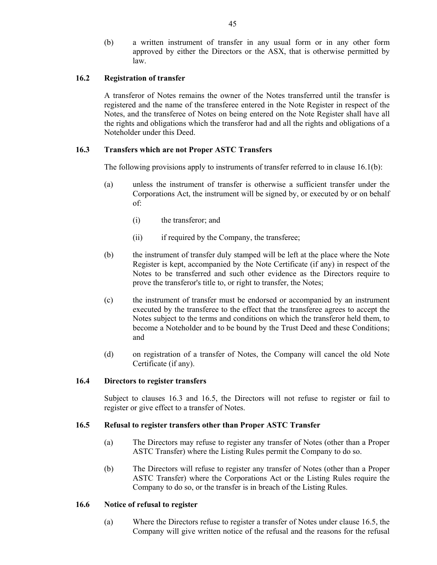(b) a written instrument of transfer in any usual form or in any other form approved by either the Directors or the ASX, that is otherwise permitted by law.

## **16.2 Registration of transfer**

A transferor of Notes remains the owner of the Notes transferred until the transfer is registered and the name of the transferee entered in the Note Register in respect of the Notes, and the transferee of Notes on being entered on the Note Register shall have all the rights and obligations which the transferor had and all the rights and obligations of a Noteholder under this Deed.

## **16.3 Transfers which are not Proper ASTC Transfers**

The following provisions apply to instruments of transfer referred to in clause  $16.1(b)$ :

- (a) unless the instrument of transfer is otherwise a sufficient transfer under the Corporations Act, the instrument will be signed by, or executed by or on behalf of:
	- (i) the transferor; and
	- (ii) if required by the Company, the transferee;
- (b) the instrument of transfer duly stamped will be left at the place where the Note Register is kept, accompanied by the Note Certificate (if any) in respect of the Notes to be transferred and such other evidence as the Directors require to prove the transferor's title to, or right to transfer, the Notes;
- (c) the instrument of transfer must be endorsed or accompanied by an instrument executed by the transferee to the effect that the transferee agrees to accept the Notes subject to the terms and conditions on which the transferor held them, to become a Noteholder and to be bound by the Trust Deed and these Conditions; and
- (d) on registration of a transfer of Notes, the Company will cancel the old Note Certificate (if any).

#### **16.4 Directors to register transfers**

Subject to clauses 16.3 and 16.5, the Directors will not refuse to register or fail to register or give effect to a transfer of Notes.

#### **16.5 Refusal to register transfers other than Proper ASTC Transfer**

- (a) The Directors may refuse to register any transfer of Notes (other than a Proper ASTC Transfer) where the Listing Rules permit the Company to do so.
- (b) The Directors will refuse to register any transfer of Notes (other than a Proper ASTC Transfer) where the Corporations Act or the Listing Rules require the Company to do so, or the transfer is in breach of the Listing Rules.

#### **16.6 Notice of refusal to register**

(a) Where the Directors refuse to register a transfer of Notes under clause 16.5, the Company will give written notice of the refusal and the reasons for the refusal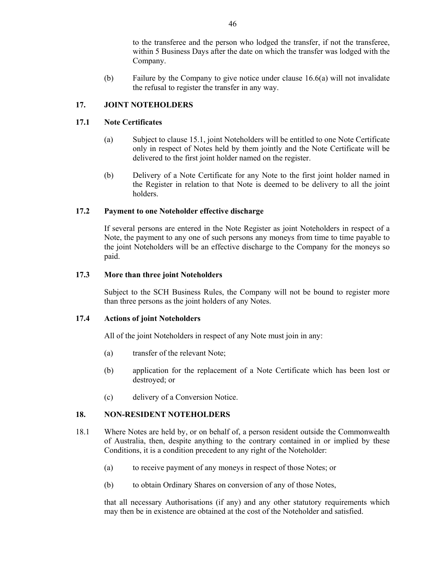to the transferee and the person who lodged the transfer, if not the transferee, within 5 Business Days after the date on which the transfer was lodged with the Company.

(b) Failure by the Company to give notice under clause 16.6(a) will not invalidate the refusal to register the transfer in any way.

## **17. JOINT NOTEHOLDERS**

## **17.1 Note Certificates**

- (a) Subject to clause 15.1, joint Noteholders will be entitled to one Note Certificate only in respect of Notes held by them jointly and the Note Certificate will be delivered to the first joint holder named on the register.
- (b) Delivery of a Note Certificate for any Note to the first joint holder named in the Register in relation to that Note is deemed to be delivery to all the joint holders.

## **17.2 Payment to one Noteholder effective discharge**

If several persons are entered in the Note Register as joint Noteholders in respect of a Note, the payment to any one of such persons any moneys from time to time payable to the joint Noteholders will be an effective discharge to the Company for the moneys so paid.

#### **17.3 More than three joint Noteholders**

Subject to the SCH Business Rules, the Company will not be bound to register more than three persons as the joint holders of any Notes.

#### **17.4 Actions of joint Noteholders**

All of the joint Noteholders in respect of any Note must join in any:

- (a) transfer of the relevant Note;
- (b) application for the replacement of a Note Certificate which has been lost or destroyed; or
- (c) delivery of a Conversion Notice.

#### **18. NON-RESIDENT NOTEHOLDERS**

- 18.1 Where Notes are held by, or on behalf of, a person resident outside the Commonwealth of Australia, then, despite anything to the contrary contained in or implied by these Conditions, it is a condition precedent to any right of the Noteholder:
	- (a) to receive payment of any moneys in respect of those Notes; or
	- (b) to obtain Ordinary Shares on conversion of any of those Notes,

that all necessary Authorisations (if any) and any other statutory requirements which may then be in existence are obtained at the cost of the Noteholder and satisfied.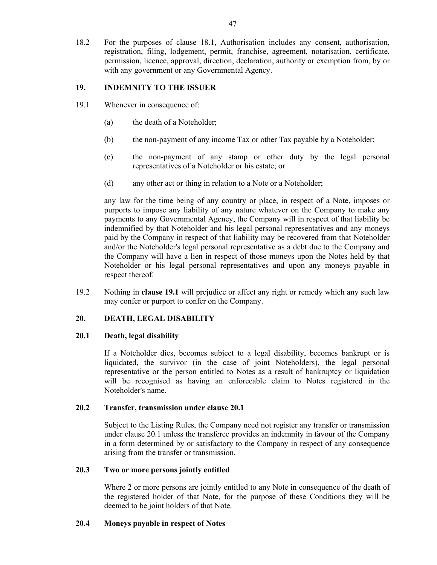18.2 For the purposes of clause 18.1, Authorisation includes any consent, authorisation, registration, filing, lodgement, permit, franchise, agreement, notarisation, certificate, permission, licence, approval, direction, declaration, authority or exemption from, by or with any government or any Governmental Agency.

## **19. INDEMNITY TO THE ISSUER**

- 19.1 Whenever in consequence of:
	- (a) the death of a Noteholder;
	- (b) the non-payment of any income Tax or other Tax payable by a Noteholder;
	- (c) the non-payment of any stamp or other duty by the legal personal representatives of a Noteholder or his estate; or
	- (d) any other act or thing in relation to a Note or a Noteholder;

any law for the time being of any country or place, in respect of a Note, imposes or purports to impose any liability of any nature whatever on the Company to make any payments to any Governmental Agency, the Company will in respect of that liability be indemnified by that Noteholder and his legal personal representatives and any moneys paid by the Company in respect of that liability may be recovered from that Noteholder and/or the Noteholder's legal personal representative as a debt due to the Company and the Company will have a lien in respect of those moneys upon the Notes held by that Noteholder or his legal personal representatives and upon any moneys payable in respect thereof.

19.2 Nothing in **clause 19.1** will prejudice or affect any right or remedy which any such law may confer or purport to confer on the Company.

## **20. DEATH, LEGAL DISABILITY**

#### **20.1 Death, legal disability**

If a Noteholder dies, becomes subject to a legal disability, becomes bankrupt or is liquidated, the survivor (in the case of joint Noteholders), the legal personal representative or the person entitled to Notes as a result of bankruptcy or liquidation will be recognised as having an enforceable claim to Notes registered in the Noteholder's name.

#### **20.2 Transfer, transmission under clause 20.1**

Subject to the Listing Rules, the Company need not register any transfer or transmission under clause 20.1 unless the transferee provides an indemnity in favour of the Company in a form determined by or satisfactory to the Company in respect of any consequence arising from the transfer or transmission.

#### **20.3 Two or more persons jointly entitled**

Where 2 or more persons are jointly entitled to any Note in consequence of the death of the registered holder of that Note, for the purpose of these Conditions they will be deemed to be joint holders of that Note.

#### **20.4 Moneys payable in respect of Notes**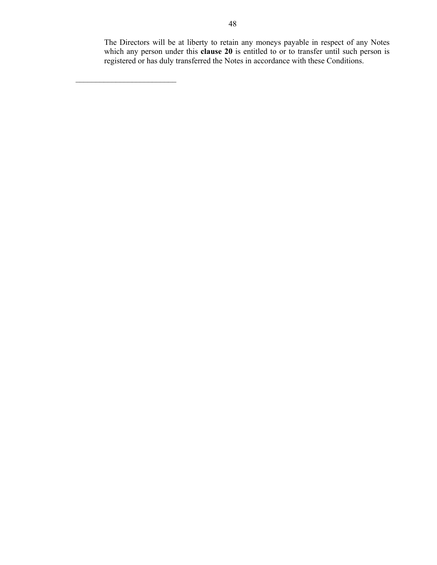The Directors will be at liberty to retain any moneys payable in respect of any Notes which any person under this **clause 20** is entitled to or to transfer until such person is registered or has duly transferred the Notes in accordance with these Conditions.

 $\mathcal{L}_\text{max}$